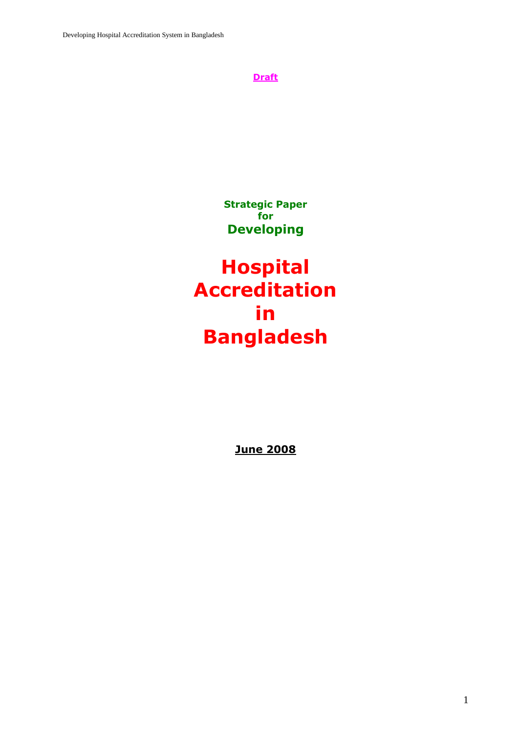

**Strategic Paper for Developing**

**Hospital Accreditation in Bangladesh**

**June 2008**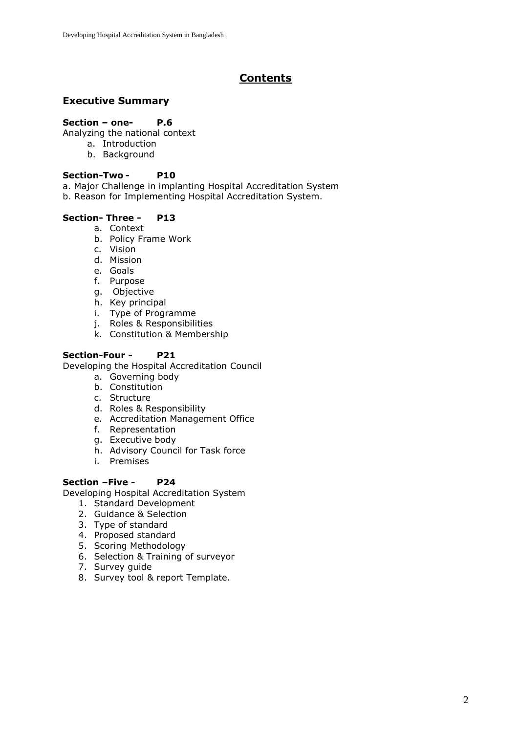# **Contents**

# **Executive Summary**

## **Section – one- P.6**

Analyzing the national context

- a. Introduction
- b. Background

## **Section-Two - P10**

a. Major Challenge in implanting Hospital Accreditation System

b. Reason for Implementing Hospital Accreditation System.

## **Section- Three - P13**

- a. Context
- b. Policy Frame Work
- c. Vision
- d. Mission
- e. Goals
- f. Purpose
- g. Objective
- h. Key principal
- i. Type of Programme
- j. Roles & Responsibilities
- k. Constitution & Membership

## **Section-Four - P21**

Developing the Hospital Accreditation Council

- a. Governing body
- b. Constitution
- c. Structure
- d. Roles & Responsibility
- e. Accreditation Management Office
- f. Representation
- g. Executive body
- h. Advisory Council for Task force
- i. Premises

## **Section –Five - P24**

Developing Hospital Accreditation System

- 1. Standard Development
- 2. Guidance & Selection
- 3. Type of standard
- 4. Proposed standard
- 5. Scoring Methodology
- 6. Selection & Training of surveyor
- 7. Survey guide
- 8. Survey tool & report Template.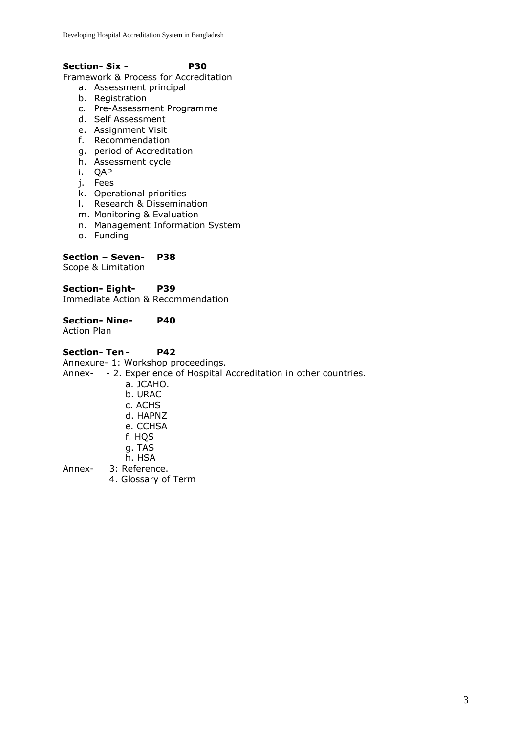## **Section- Six - P30**

Framework & Process for Accreditation

- a. Assessment principal
- b. Registration
- c. Pre-Assessment Programme
- d. Self Assessment
- e. Assignment Visit
- f. Recommendation
- g. period of Accreditation
- h. Assessment cycle
- i. QAP
- j. Fees
- k. Operational priorities
- l. Research & Dissemination
- m. Monitoring & Evaluation
- n. Management Information System
- o. Funding

## **Section – Seven- P38**

Scope & Limitation

**Section- Eight- P39** Immediate Action & Recommendation

**Section- Nine- P40** Action Plan

## **Section- Ten - P42**

Annexure- 1: Workshop proceedings.

Annex- - 2. Experience of Hospital Accreditation in other countries.

- a. JCAHO. b. URAC
- c. ACHS
- d. HAPNZ
- 
- e. CCHSA
- f. HQS
- g. TAS
- h. HSA
- Annex- 3: Reference.
	- 4. Glossary of Term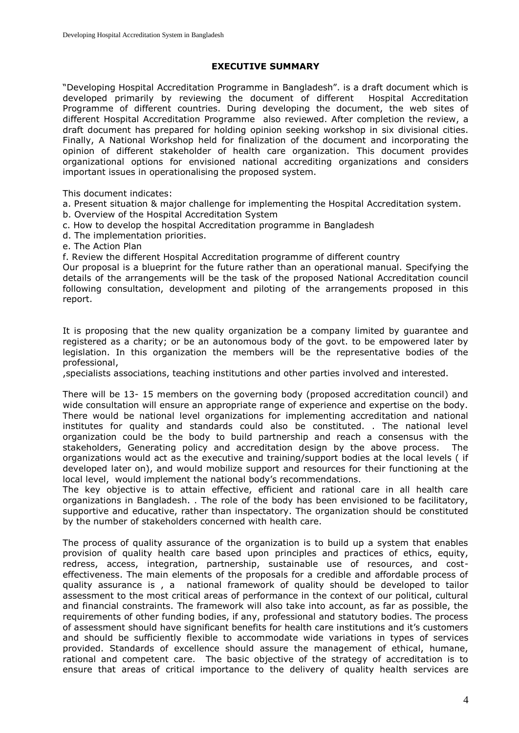#### **EXECUTIVE SUMMARY**

"Developing Hospital Accreditation Programme in Bangladesh". is a draft document which is developed primarily by reviewing the document of different Hospital Accreditation Programme of different countries. During developing the document, the web sites of different Hospital Accreditation Programme also reviewed. After completion the review, a draft document has prepared for holding opinion seeking workshop in six divisional cities. Finally, A National Workshop held for finalization of the document and incorporating the opinion of different stakeholder of health care organization. This document provides organizational options for envisioned national accrediting organizations and considers important issues in operationalising the proposed system.

This document indicates:

a. Present situation & major challenge for implementing the Hospital Accreditation system.

- b. Overview of the Hospital Accreditation System
- c. How to develop the hospital Accreditation programme in Bangladesh
- d. The implementation priorities.
- e. The Action Plan

f. Review the different Hospital Accreditation programme of different country

Our proposal is a blueprint for the future rather than an operational manual. Specifying the details of the arrangements will be the task of the proposed National Accreditation council following consultation, development and piloting of the arrangements proposed in this report.

It is proposing that the new quality organization be a company limited by guarantee and registered as a charity; or be an autonomous body of the govt. to be empowered later by legislation. In this organization the members will be the representative bodies of the professional,

,specialists associations, teaching institutions and other parties involved and interested.

There will be 13- 15 members on the governing body (proposed accreditation council) and wide consultation will ensure an appropriate range of experience and expertise on the body. There would be national level organizations for implementing accreditation and national institutes for quality and standards could also be constituted. . The national level organization could be the body to build partnership and reach a consensus with the stakeholders, Generating policy and accreditation design by the above process. The organizations would act as the executive and training/support bodies at the local levels ( if developed later on), and would mobilize support and resources for their functioning at the local level, would implement the national body's recommendations.

The key objective is to attain effective, efficient and rational care in all health care organizations in Bangladesh. . The role of the body has been envisioned to be facilitatory, supportive and educative, rather than inspectatory. The organization should be constituted by the number of stakeholders concerned with health care.

The process of quality assurance of the organization is to build up a system that enables provision of quality health care based upon principles and practices of ethics, equity, redress, access, integration, partnership, sustainable use of resources, and costeffectiveness. The main elements of the proposals for a credible and affordable process of quality assurance is , a national framework of quality should be developed to tailor assessment to the most critical areas of performance in the context of our political, cultural and financial constraints. The framework will also take into account, as far as possible, the requirements of other funding bodies, if any, professional and statutory bodies. The process of assessment should have significant benefits for health care institutions and it's customers and should be sufficiently flexible to accommodate wide variations in types of services provided. Standards of excellence should assure the management of ethical, humane, rational and competent care. The basic objective of the strategy of accreditation is to ensure that areas of critical importance to the delivery of quality health services are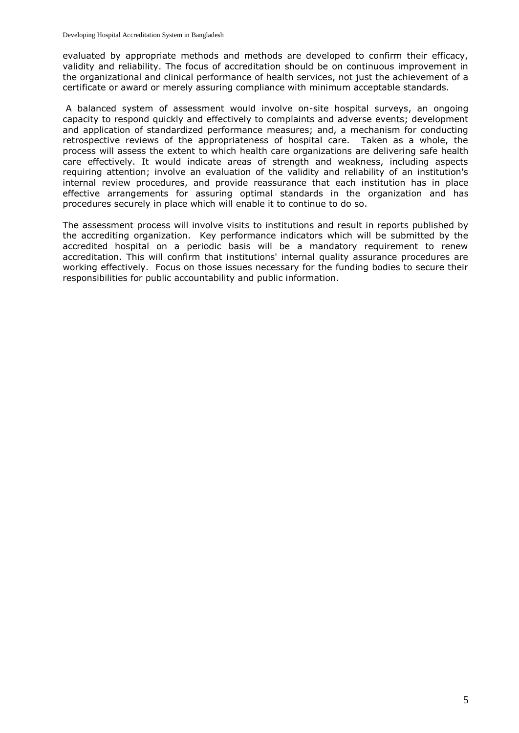evaluated by appropriate methods and methods are developed to confirm their efficacy, validity and reliability. The focus of accreditation should be on continuous improvement in the organizational and clinical performance of health services, not just the achievement of a certificate or award or merely assuring compliance with minimum acceptable standards.

A balanced system of assessment would involve on-site hospital surveys, an ongoing capacity to respond quickly and effectively to complaints and adverse events; development and application of standardized performance measures; and, a mechanism for conducting retrospective reviews of the appropriateness of hospital care. Taken as a whole, the process will assess the extent to which health care organizations are delivering safe health care effectively. It would indicate areas of strength and weakness, including aspects requiring attention; involve an evaluation of the validity and reliability of an institution's internal review procedures, and provide reassurance that each institution has in place effective arrangements for assuring optimal standards in the organization and has procedures securely in place which will enable it to continue to do so.

The assessment process will involve visits to institutions and result in reports published by the accrediting organization. Key performance indicators which will be submitted by the accredited hospital on a periodic basis will be a mandatory requirement to renew accreditation. This will confirm that institutions' internal quality assurance procedures are working effectively. Focus on those issues necessary for the funding bodies to secure their responsibilities for public accountability and public information.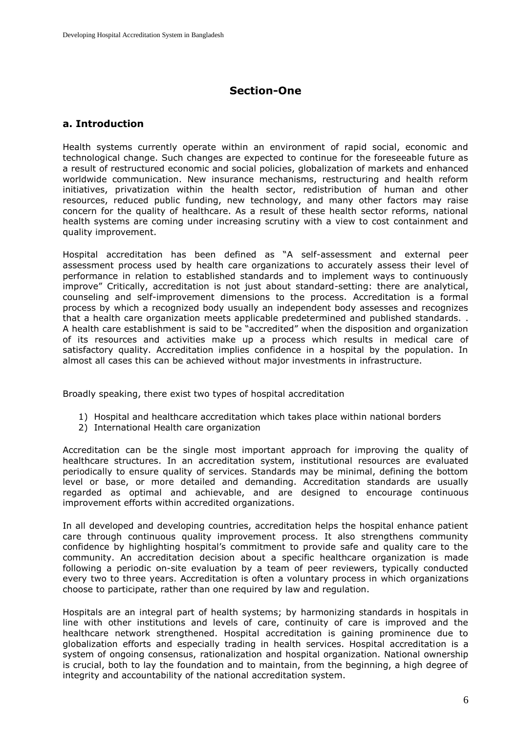# **Section-One**

# **a. Introduction**

Health systems currently operate within an environment of rapid social, economic and technological change. Such changes are expected to continue for the foreseeable future as a result of restructured economic and social policies, globalization of markets and enhanced worldwide communication. New insurance mechanisms, restructuring and health reform initiatives, privatization within the health sector, redistribution of human and other resources, reduced public funding, new technology, and many other factors may raise concern for the quality of healthcare. As a result of these health sector reforms, national health systems are coming under increasing scrutiny with a view to cost containment and quality improvement.

Hospital accreditation has been defined as "A self-assessment and external peer assessment process used by health care organizations to accurately assess their level of performance in relation to established standards and to implement ways to continuously improve" Critically, accreditation is not just about standard-setting: there are analytical, counseling and self-improvement dimensions to the process. Accreditation is a formal process by which a recognized body usually an independent body assesses and recognizes that a health care organization meets applicable predetermined and published standards. . A health care establishment is said to be "accredited" when the disposition and organization of its resources and activities make up a process which results in medical care of satisfactory quality. Accreditation implies confidence in a hospital by the population. In almost all cases this can be achieved without major investments in infrastructure.

Broadly speaking, there exist two types of hospital accreditation

- 1) Hospital and healthcare accreditation which takes place within national borders
- 2) International Health care organization

Accreditation can be the single most important approach for improving the quality of healthcare structures. In an accreditation system, institutional resources are evaluated periodically to ensure quality of services. Standards may be minimal, defining the bottom level or base, or more detailed and demanding. Accreditation standards are usually regarded as optimal and achievable, and are designed to encourage continuous improvement efforts within accredited organizations.

In all developed and developing countries, accreditation helps the hospital enhance patient care through continuous quality improvement process. It also strengthens community confidence by highlighting hospital's commitment to provide safe and quality care to the community. An accreditation decision about a specific healthcare organization is made following a periodic on-site evaluation by a team of peer reviewers, typically conducted every two to three years. Accreditation is often a voluntary process in which organizations choose to participate, rather than one required by law and regulation.

Hospitals are an integral part of health systems; by harmonizing standards in hospitals in line with other institutions and levels of care, continuity of care is improved and the healthcare network strengthened. Hospital accreditation is gaining prominence due to globalization efforts and especially trading in health services. Hospital accreditation is a system of ongoing consensus, rationalization and hospital organization. National ownership is crucial, both to lay the foundation and to maintain, from the beginning, a high degree of integrity and accountability of the national accreditation system.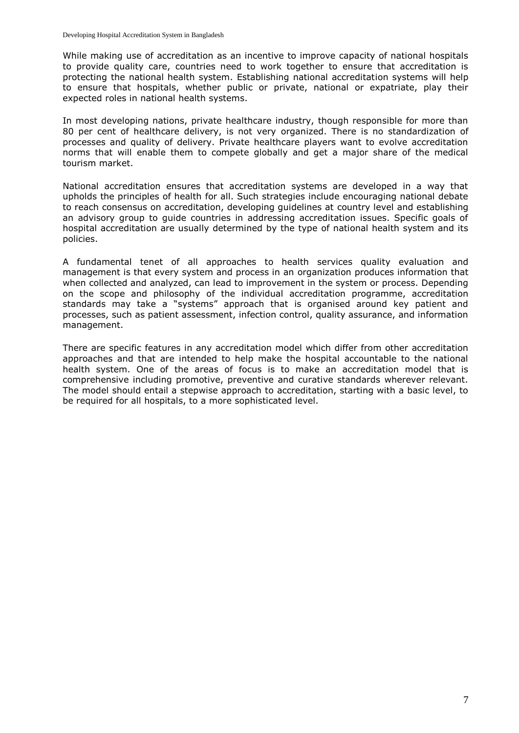While making use of accreditation as an incentive to improve capacity of national hospitals to provide quality care, countries need to work together to ensure that accreditation is protecting the national health system. Establishing national accreditation systems will help to ensure that hospitals, whether public or private, national or expatriate, play their expected roles in national health systems.

In most developing nations, private healthcare industry, though responsible for more than 80 per cent of healthcare delivery, is not very organized. There is no standardization of processes and quality of delivery. Private healthcare players want to evolve accreditation norms that will enable them to compete globally and get a major share of the medical tourism market.

National accreditation ensures that accreditation systems are developed in a way that upholds the principles of health for all. Such strategies include encouraging national debate to reach consensus on accreditation, developing guidelines at country level and establishing an advisory group to guide countries in addressing accreditation issues. Specific goals of hospital accreditation are usually determined by the type of national health system and its policies.

A fundamental tenet of all approaches to health services quality evaluation and management is that every system and process in an organization produces information that when collected and analyzed, can lead to improvement in the system or process. Depending on the scope and philosophy of the individual accreditation programme, accreditation standards may take a "systems" approach that is organised around key patient and processes, such as patient assessment, infection control, quality assurance, and information management.

There are specific features in any accreditation model which differ from other accreditation approaches and that are intended to help make the hospital accountable to the national health system. One of the areas of focus is to make an accreditation model that is comprehensive including promotive, preventive and curative standards wherever relevant. The model should entail a stepwise approach to accreditation, starting with a basic level, to be required for all hospitals, to a more sophisticated level.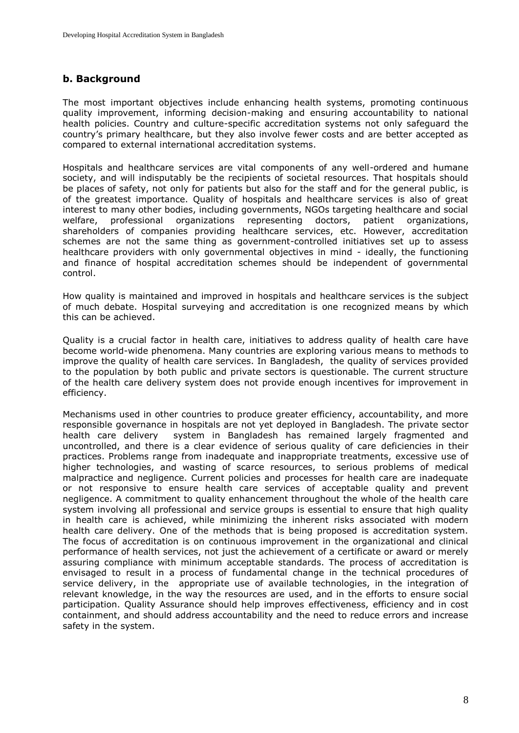# **b. Background**

The most important objectives include enhancing health systems, promoting continuous quality improvement, informing decision-making and ensuring accountability to national health policies. Country and culture-specific accreditation systems not only safeguard the country's primary healthcare, but they also involve fewer costs and are better accepted as compared to external international accreditation systems.

[Hospitals](http://en.wikipedia.org/wiki/Hospital) and [healthcare](http://en.wikipedia.org/wiki/Healthcare) services are vital components of any well-ordered and humane society, and will indisputably be the recipients of societal resources. That hospitals should be places of safety, not only for patients but also for the staff and for the general public, is of the greatest importance. Quality of hospitals and healthcare services is also of great interest to many other bodies, including governments, NGOs targeting healthcare and social welfare, professional organizations representing doctors, patient organizations, shareholders of companies providing healthcare services, etc. However, accreditation schemes are not the same thing as government-controlled initiatives set up to assess healthcare providers with only governmental objectives in mind - ideally, the functioning and finance of hospital accreditation schemes should be independent of governmental control.

How quality is maintained and improved in hospitals and healthcare services is the subject of much debate. Hospital surveying and accreditation is one recognized means by which this can be achieved.

Quality is a crucial factor in health care, initiatives to address quality of health care have become world-wide phenomena. Many countries are exploring various means to methods to improve the quality of health care services. In Bangladesh, the quality of services provided to the population by both public and private sectors is questionable. The current structure of the health care delivery system does not provide enough incentives for improvement in efficiency.

Mechanisms used in other countries to produce greater efficiency, accountability, and more responsible governance in hospitals are not yet deployed in Bangladesh. The private sector health care delivery system in Bangladesh has remained largely fragmented and uncontrolled, and there is a clear evidence of serious quality of care deficiencies in their practices. Problems range from inadequate and inappropriate treatments, excessive use of higher technologies, and wasting of scarce resources, to serious problems of medical malpractice and negligence. Current policies and processes for health care are inadequate or not responsive to ensure health care services of acceptable quality and prevent negligence. A commitment to quality enhancement throughout the whole of the health care system involving all professional and service groups is essential to ensure that high quality in health care is achieved, while minimizing the inherent risks associated with modern health care delivery. One of the methods that is being proposed is accreditation system. The focus of accreditation is on continuous improvement in the organizational and clinical performance of health services, not just the achievement of a certificate or award or merely assuring compliance with minimum acceptable standards. The process of accreditation is envisaged to result in a process of fundamental change in the technical procedures of service delivery, in the appropriate use of available technologies, in the integration of relevant knowledge, in the way the resources are used, and in the efforts to ensure social participation. Quality Assurance should help improves effectiveness, efficiency and in cost containment, and should address accountability and the need to reduce errors and increase safety in the system.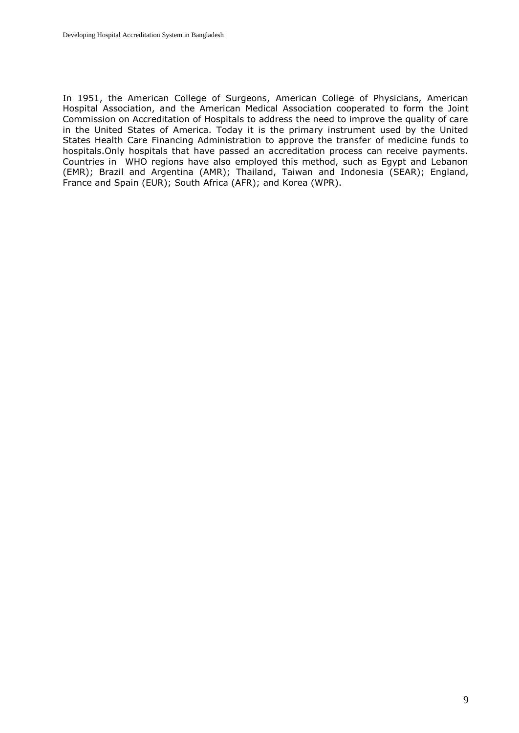In 1951, the American College of Surgeons, American College of Physicians, American Hospital Association, and the American Medical Association cooperated to form the Joint Commission on Accreditation of Hospitals to address the need to improve the quality of care in the United States of America. Today it is the primary instrument used by the United States Health Care Financing Administration to approve the transfer of medicine funds to hospitals.Only hospitals that have passed an accreditation process can receive payments. Countries in WHO regions have also employed this method, such as Egypt and Lebanon (EMR); Brazil and Argentina (AMR); Thailand, Taiwan and Indonesia (SEAR); England, France and Spain (EUR); South Africa (AFR); and Korea (WPR).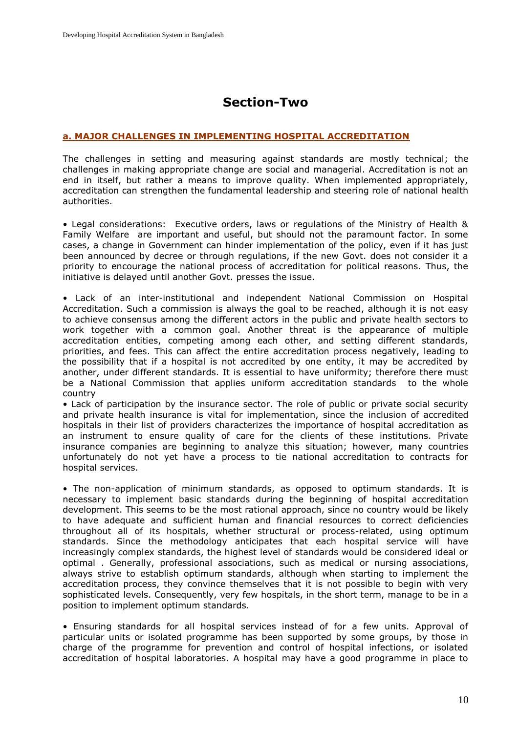# **Section-Two**

## **a. MAJOR CHALLENGES IN IMPLEMENTING HOSPITAL ACCREDITATION**

The challenges in setting and measuring against standards are mostly technical; the challenges in making appropriate change are social and managerial. Accreditation is not an end in itself, but rather a means to improve quality. When implemented appropriately, accreditation can strengthen the fundamental leadership and steering role of national health authorities.

• Legal considerations: Executive orders, laws or regulations of the Ministry of Health & Family Welfare are important and useful, but should not the paramount factor. In some cases, a change in Government can hinder implementation of the policy, even if it has just been announced by decree or through regulations, if the new Govt. does not consider it a priority to encourage the national process of accreditation for political reasons. Thus, the initiative is delayed until another Govt. presses the issue.

• Lack of an inter-institutional and independent National Commission on Hospital Accreditation. Such a commission is always the goal to be reached, although it is not easy to achieve consensus among the different actors in the public and private health sectors to work together with a common goal. Another threat is the appearance of multiple accreditation entities, competing among each other, and setting different standards, priorities, and fees. This can affect the entire accreditation process negatively, leading to the possibility that if a hospital is not accredited by one entity, it may be accredited by another, under different standards. It is essential to have uniformity; therefore there must be a National Commission that applies uniform accreditation standards to the whole country

• Lack of participation by the insurance sector. The role of public or private social security and private health insurance is vital for implementation, since the inclusion of accredited hospitals in their list of providers characterizes the importance of hospital accreditation as an instrument to ensure quality of care for the clients of these institutions. Private insurance companies are beginning to analyze this situation; however, many countries unfortunately do not yet have a process to tie national accreditation to contracts for hospital services.

• The non-application of minimum standards, as opposed to optimum standards. It is necessary to implement basic standards during the beginning of hospital accreditation development. This seems to be the most rational approach, since no country would be likely to have adequate and sufficient human and financial resources to correct deficiencies throughout all of its hospitals, whether structural or process-related, using optimum standards. Since the methodology anticipates that each hospital service will have increasingly complex standards, the highest level of standards would be considered ideal or optimal . Generally, professional associations, such as medical or nursing associations, always strive to establish optimum standards, although when starting to implement the accreditation process, they convince themselves that it is not possible to begin with very sophisticated levels. Consequently, very few hospitals, in the short term, manage to be in a position to implement optimum standards.

• Ensuring standards for all hospital services instead of for a few units. Approval of particular units or isolated programme has been supported by some groups, by those in charge of the programme for prevention and control of hospital infections, or isolated accreditation of hospital laboratories. A hospital may have a good programme in place to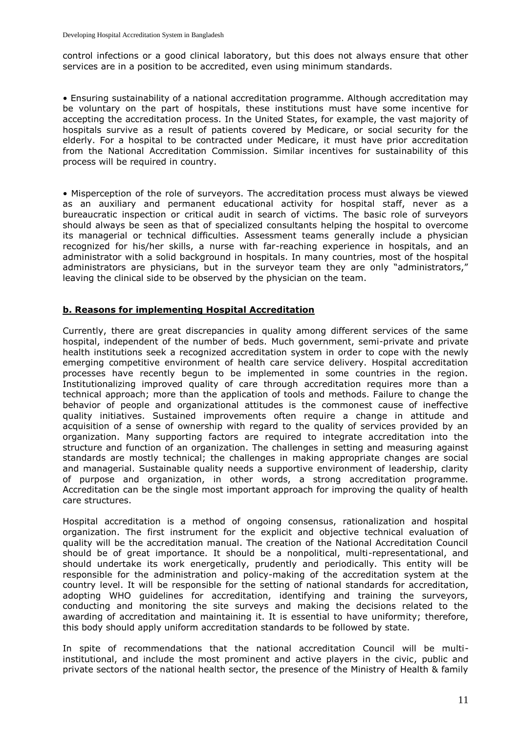control infections or a good clinical laboratory, but this does not always ensure that other services are in a position to be accredited, even using minimum standards.

• Ensuring sustainability of a national accreditation programme. Although accreditation may be voluntary on the part of hospitals, these institutions must have some incentive for accepting the accreditation process. In the United States, for example, the vast majority of hospitals survive as a result of patients covered by Medicare, or social security for the elderly. For a hospital to be contracted under Medicare, it must have prior accreditation from the National Accreditation Commission. Similar incentives for sustainability of this process will be required in country.

• Misperception of the role of surveyors. The accreditation process must always be viewed as an auxiliary and permanent educational activity for hospital staff, never as a bureaucratic inspection or critical audit in search of victims. The basic role of surveyors should always be seen as that of specialized consultants helping the hospital to overcome its managerial or technical difficulties. Assessment teams generally include a physician recognized for his/her skills, a nurse with far-reaching experience in hospitals, and an administrator with a solid background in hospitals. In many countries, most of the hospital administrators are physicians, but in the surveyor team they are only "administrators," leaving the clinical side to be observed by the physician on the team.

## **b. Reasons for implementing Hospital Accreditation**

Currently, there are great discrepancies in quality among different services of the same hospital, independent of the number of beds. Much government, semi-private and private health institutions seek a recognized accreditation system in order to cope with the newly emerging competitive environment of health care service delivery. Hospital accreditation processes have recently begun to be implemented in some countries in the region. Institutionalizing improved quality of care through accreditation requires more than a technical approach; more than the application of tools and methods. Failure to change the behavior of people and organizational attitudes is the commonest cause of ineffective quality initiatives. Sustained improvements often require a change in attitude and acquisition of a sense of ownership with regard to the quality of services provided by an organization. Many supporting factors are required to integrate accreditation into the structure and function of an organization. The challenges in setting and measuring against standards are mostly technical; the challenges in making appropriate changes are social and managerial. Sustainable quality needs a supportive environment of leadership, clarity of purpose and organization, in other words, a strong accreditation programme. Accreditation can be the single most important approach for improving the quality of health care structures.

Hospital accreditation is a method of ongoing consensus, rationalization and hospital organization. The first instrument for the explicit and objective technical evaluation of quality will be the accreditation manual. The creation of the National Accreditation Council should be of great importance. It should be a nonpolitical, multi-representational, and should undertake its work energetically, prudently and periodically. This entity will be responsible for the administration and policy-making of the accreditation system at the country level. It will be responsible for the setting of national standards for accreditation, adopting WHO guidelines for accreditation, identifying and training the surveyors, conducting and monitoring the site surveys and making the decisions related to the awarding of accreditation and maintaining it. It is essential to have uniformity; therefore, this body should apply uniform accreditation standards to be followed by state.

In spite of recommendations that the national accreditation Council will be multiinstitutional, and include the most prominent and active players in the civic, public and private sectors of the national health sector, the presence of the Ministry of Health & family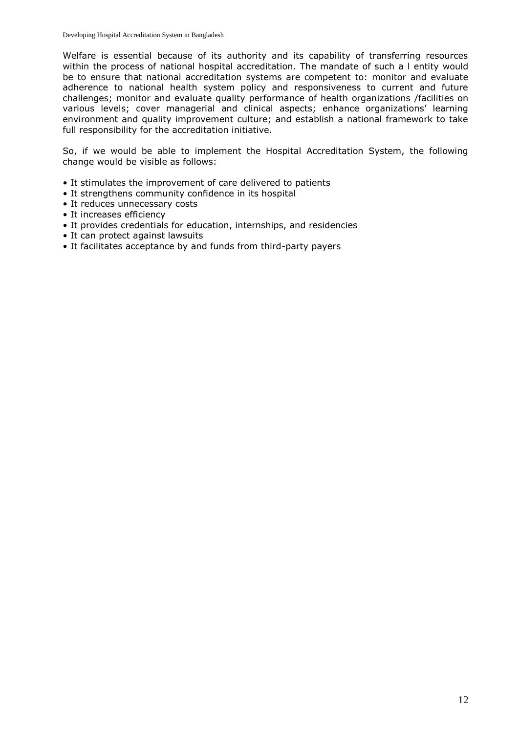Welfare is essential because of its authority and its capability of transferring resources within the process of national hospital accreditation. The mandate of such a l entity would be to ensure that national accreditation systems are competent to: monitor and evaluate adherence to national health system policy and responsiveness to current and future challenges; monitor and evaluate quality performance of health organizations /facilities on various levels; cover managerial and clinical aspects; enhance organizations' learning environment and quality improvement culture; and establish a national framework to take full responsibility for the accreditation initiative.

So, if we would be able to implement the Hospital Accreditation System, the following change would be visible as follows:

- It stimulates the improvement of care delivered to patients
- It strengthens community confidence in its hospital
- It reduces unnecessary costs
- It increases efficiency
- It provides credentials for education, internships, and residencies
- It can protect against lawsuits
- It facilitates acceptance by and funds from third-party payers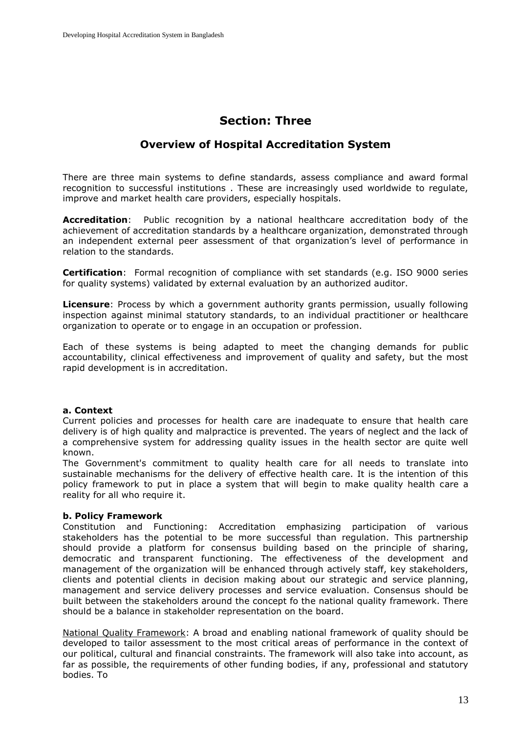# **Section: Three**

# **Overview of Hospital Accreditation System**

There are three main systems to define standards, assess compliance and award formal recognition to successful institutions . These are increasingly used worldwide to regulate, improve and market health care providers, especially hospitals.

**Accreditation**: Public recognition by a national healthcare accreditation body of the achievement of accreditation standards by a healthcare organization, demonstrated through an independent external peer assessment of that organization's level of performance in relation to the standards.

**Certification**: Formal recognition of compliance with set standards (e.g. ISO 9000 series for quality systems) validated by external evaluation by an authorized auditor.

**Licensure**: Process by which a government authority grants permission, usually following inspection against minimal statutory standards, to an individual practitioner or healthcare organization to operate or to engage in an occupation or profession.

Each of these systems is being adapted to meet the changing demands for public accountability, clinical effectiveness and improvement of quality and safety, but the most rapid development is in accreditation.

#### **a. Context**

Current policies and processes for health care are inadequate to ensure that health care delivery is of high quality and malpractice is prevented. The years of neglect and the lack of a comprehensive system for addressing quality issues in the health sector are quite well known.

The Government's commitment to quality health care for all needs to translate into sustainable mechanisms for the delivery of effective health care. It is the intention of this policy framework to put in place a system that will begin to make quality health care a reality for all who require it.

#### **b. Policy Framework**

Constitution and Functioning: Accreditation emphasizing participation of various stakeholders has the potential to be more successful than regulation. This partnership should provide a platform for consensus building based on the principle of sharing, democratic and transparent functioning. The effectiveness of the development and management of the organization will be enhanced through actively staff, key stakeholders, clients and potential clients in decision making about our strategic and service planning, management and service delivery processes and service evaluation. Consensus should be built between the stakeholders around the concept fo the national quality framework. There should be a balance in stakeholder representation on the board.

National Quality Framework: A broad and enabling national framework of quality should be developed to tailor assessment to the most critical areas of performance in the context of our political, cultural and financial constraints. The framework will also take into account, as far as possible, the requirements of other funding bodies, if any, professional and statutory bodies. To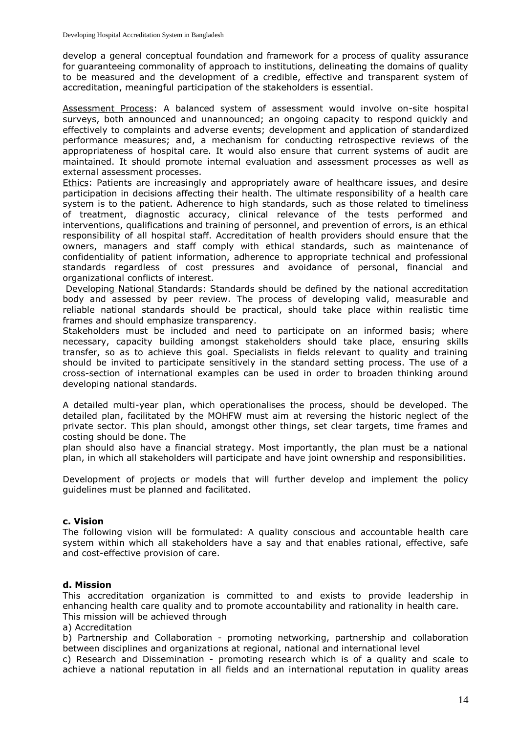develop a general conceptual foundation and framework for a process of quality assurance for guaranteeing commonality of approach to institutions, delineating the domains of quality to be measured and the development of a credible, effective and transparent system of accreditation, meaningful participation of the stakeholders is essential.

Assessment Process: A balanced system of assessment would involve on-site hospital surveys, both announced and unannounced; an ongoing capacity to respond quickly and effectively to complaints and adverse events; development and application of standardized performance measures; and, a mechanism for conducting retrospective reviews of the appropriateness of hospital care. It would also ensure that current systems of audit are maintained. It should promote internal evaluation and assessment processes as well as external assessment processes.

Ethics: Patients are increasingly and appropriately aware of healthcare issues, and desire participation in decisions affecting their health. The ultimate responsibility of a health care system is to the patient. Adherence to high standards, such as those related to timeliness of treatment, diagnostic accuracy, clinical relevance of the tests performed and interventions, qualifications and training of personnel, and prevention of errors, is an ethical responsibility of all hospital staff. Accreditation of health providers should ensure that the owners, managers and staff comply with ethical standards, such as maintenance of confidentiality of patient information, adherence to appropriate technical and professional standards regardless of cost pressures and avoidance of personal, financial and organizational conflicts of interest.

Developing National Standards: Standards should be defined by the national accreditation body and assessed by peer review. The process of developing valid, measurable and reliable national standards should be practical, should take place within realistic time frames and should emphasize transparency.

Stakeholders must be included and need to participate on an informed basis; where necessary, capacity building amongst stakeholders should take place, ensuring skills transfer, so as to achieve this goal. Specialists in fields relevant to quality and training should be invited to participate sensitively in the standard setting process. The use of a cross-section of international examples can be used in order to broaden thinking around developing national standards.

A detailed multi-year plan, which operationalises the process, should be developed. The detailed plan, facilitated by the MOHFW must aim at reversing the historic neglect of the private sector. This plan should, amongst other things, set clear targets, time frames and costing should be done. The

plan should also have a financial strategy. Most importantly, the plan must be a national plan, in which all stakeholders will participate and have joint ownership and responsibilities.

Development of projects or models that will further develop and implement the policy guidelines must be planned and facilitated.

#### **c. Vision**

The following vision will be formulated: A quality conscious and accountable health care system within which all stakeholders have a say and that enables rational, effective, safe and cost-effective provision of care.

#### **d. Mission**

This accreditation organization is committed to and exists to provide leadership in enhancing health care quality and to promote accountability and rationality in health care. This mission will be achieved through

a) Accreditation

b) Partnership and Collaboration - promoting networking, partnership and collaboration between disciplines and organizations at regional, national and international level

c) Research and Dissemination - promoting research which is of a quality and scale to achieve a national reputation in all fields and an international reputation in quality areas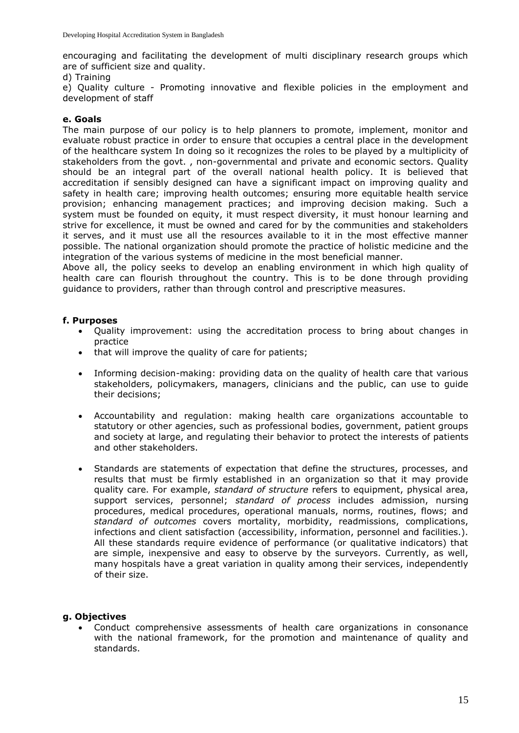encouraging and facilitating the development of multi disciplinary research groups which are of sufficient size and quality.

d) Training

e) Quality culture - Promoting innovative and flexible policies in the employment and development of staff

#### **e. Goals**

The main purpose of our policy is to help planners to promote, implement, monitor and evaluate robust practice in order to ensure that occupies a central place in the development of the healthcare system In doing so it recognizes the roles to be played by a multiplicity of stakeholders from the govt. , non-governmental and private and economic sectors. Quality should be an integral part of the overall national health policy. It is believed that accreditation if sensibly designed can have a significant impact on improving quality and safety in health care; improving health outcomes; ensuring more equitable health service provision; enhancing management practices; and improving decision making. Such a system must be founded on equity, it must respect diversity, it must honour learning and strive for excellence, it must be owned and cared for by the communities and stakeholders it serves, and it must use all the resources available to it in the most effective manner possible. The national organization should promote the practice of holistic medicine and the integration of the various systems of medicine in the most beneficial manner.

Above all, the policy seeks to develop an enabling environment in which high quality of health care can flourish throughout the country. This is to be done through providing guidance to providers, rather than through control and prescriptive measures.

#### **f. Purposes**

- Quality improvement: using the accreditation process to bring about changes in practice
- that will improve the quality of care for patients;
- Informing decision-making: providing data on the quality of health care that various stakeholders, policymakers, managers, clinicians and the public, can use to guide their decisions;
- Accountability and regulation: making health care organizations accountable to statutory or other agencies, such as professional bodies, government, patient groups and society at large, and regulating their behavior to protect the interests of patients and other stakeholders.
- Standards are statements of expectation that define the structures, processes, and results that must be firmly established in an organization so that it may provide quality care. For example, *standard of structure* refers to equipment, physical area, support services, personnel; *standard of process* includes admission, nursing procedures, medical procedures, operational manuals, norms, routines, flows; and *standard of outcomes* covers mortality, morbidity, readmissions, complications, infections and client satisfaction (accessibility, information, personnel and facilities.). All these standards require evidence of performance (or qualitative indicators) that are simple, inexpensive and easy to observe by the surveyors. Currently, as well, many hospitals have a great variation in quality among their services, independently of their size.

## **g. Objectives**

 Conduct comprehensive assessments of health care organizations in consonance with the national framework, for the promotion and maintenance of quality and standards.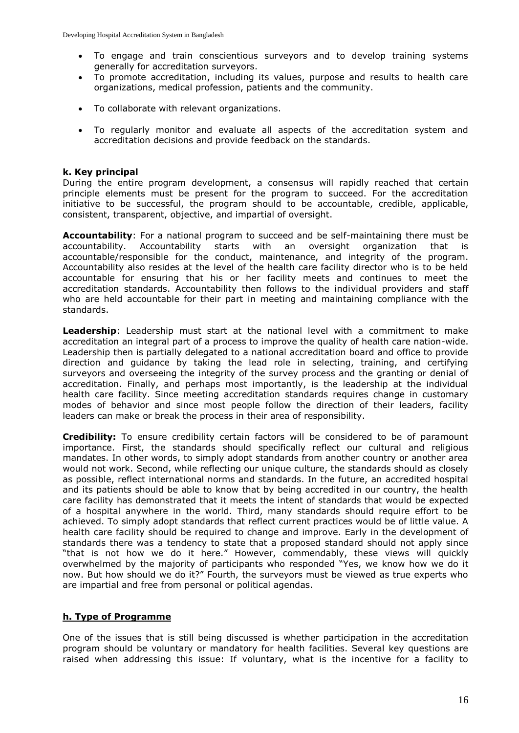- To engage and train conscientious surveyors and to develop training systems generally for accreditation surveyors.
- To promote accreditation, including its values, purpose and results to health care organizations, medical profession, patients and the community.
- To collaborate with relevant organizations.
- To regularly monitor and evaluate all aspects of the accreditation system and accreditation decisions and provide feedback on the standards.

#### **k. Key principal**

During the entire program development, a consensus will rapidly reached that certain principle elements must be present for the program to succeed. For the accreditation initiative to be successful, the program should to be accountable, credible, applicable, consistent, transparent, objective, and impartial of oversight.

**Accountability**: For a national program to succeed and be self-maintaining there must be accountability. Accountability starts with an oversight organization that is accountable/responsible for the conduct, maintenance, and integrity of the program. Accountability also resides at the level of the health care facility director who is to be held accountable for ensuring that his or her facility meets and continues to meet the accreditation standards. Accountability then follows to the individual providers and staff who are held accountable for their part in meeting and maintaining compliance with the standards.

**Leadership**: Leadership must start at the national level with a commitment to make accreditation an integral part of a process to improve the quality of health care nation-wide. Leadership then is partially delegated to a national accreditation board and office to provide direction and guidance by taking the lead role in selecting, training, and certifying surveyors and overseeing the integrity of the survey process and the granting or denial of accreditation. Finally, and perhaps most importantly, is the leadership at the individual health care facility. Since meeting accreditation standards requires change in customary modes of behavior and since most people follow the direction of their leaders, facility leaders can make or break the process in their area of responsibility.

**Credibility:** To ensure credibility certain factors will be considered to be of paramount importance. First, the standards should specifically reflect our cultural and religious mandates. In other words, to simply adopt standards from another country or another area would not work. Second, while reflecting our unique culture, the standards should as closely as possible, reflect international norms and standards. In the future, an accredited hospital and its patients should be able to know that by being accredited in our country, the health care facility has demonstrated that it meets the intent of standards that would be expected of a hospital anywhere in the world. Third, many standards should require effort to be achieved. To simply adopt standards that reflect current practices would be of little value. A health care facility should be required to change and improve. Early in the development of standards there was a tendency to state that a proposed standard should not apply since "that is not how we do it here." However, commendably, these views will quickly overwhelmed by the majority of participants who responded "Yes, we know how we do it now. But how should we do it?" Fourth, the surveyors must be viewed as true experts who are impartial and free from personal or political agendas.

#### **h. Type of Programme**

One of the issues that is still being discussed is whether participation in the accreditation program should be voluntary or mandatory for health facilities. Several key questions are raised when addressing this issue: If voluntary, what is the incentive for a facility to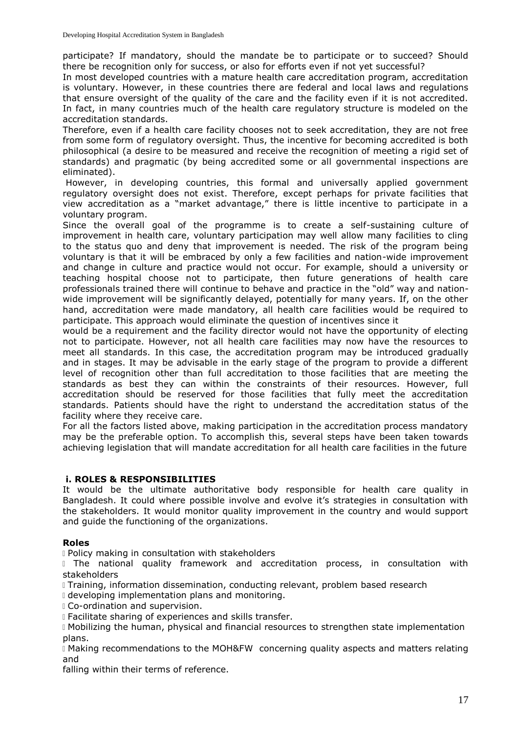participate? If mandatory, should the mandate be to participate or to succeed? Should there be recognition only for success, or also for efforts even if not yet successful?

In most developed countries with a mature health care accreditation program, accreditation is voluntary. However, in these countries there are federal and local laws and regulations that ensure oversight of the quality of the care and the facility even if it is not accredited. In fact, in many countries much of the health care regulatory structure is modeled on the accreditation standards.

Therefore, even if a health care facility chooses not to seek accreditation, they are not free from some form of regulatory oversight. Thus, the incentive for becoming accredited is both philosophical (a desire to be measured and receive the recognition of meeting a rigid set of standards) and pragmatic (by being accredited some or all governmental inspections are eliminated).

However, in developing countries, this formal and universally applied government regulatory oversight does not exist. Therefore, except perhaps for private facilities that view accreditation as a "market advantage," there is little incentive to participate in a voluntary program.

Since the overall goal of the programme is to create a self-sustaining culture of improvement in health care, voluntary participation may well allow many facilities to cling to the status quo and deny that improvement is needed. The risk of the program being voluntary is that it will be embraced by only a few facilities and nation-wide improvement and change in culture and practice would not occur. For example, should a university or teaching hospital choose not to participate, then future generations of health care professionals trained there will continue to behave and practice in the "old" way and nationwide improvement will be significantly delayed, potentially for many years. If, on the other hand, accreditation were made mandatory, all health care facilities would be required to participate. This approach would eliminate the question of incentives since it

would be a requirement and the facility director would not have the opportunity of electing not to participate. However, not all health care facilities may now have the resources to meet all standards. In this case, the accreditation program may be introduced gradually and in stages. It may be advisable in the early stage of the program to provide a different level of recognition other than full accreditation to those facilities that are meeting the standards as best they can within the constraints of their resources. However, full accreditation should be reserved for those facilities that fully meet the accreditation standards. Patients should have the right to understand the accreditation status of the facility where they receive care.

For all the factors listed above, making participation in the accreditation process mandatory may be the preferable option. To accomplish this, several steps have been taken towards achieving legislation that will mandate accreditation for all health care facilities in the future

## **i. ROLES & RESPONSIBILITIES**

It would be the ultimate authoritative body responsible for health care quality in Bangladesh. It could where possible involve and evolve it's strategies in consultation with the stakeholders. It would monitor quality improvement in the country and would support and guide the functioning of the organizations.

## **Roles**

Policy making in consultation with stakeholders

I The national quality framework and accreditation process, in consultation with stakeholders

I Training, information dissemination, conducting relevant, problem based research

developing implementation plans and monitoring.

Co-ordination and supervision.

Facilitate sharing of experiences and skills transfer.

Mobilizing the human, physical and financial resources to strengthen state implementation plans.

Making recommendations to the MOH&FW concerning quality aspects and matters relating and

falling within their terms of reference.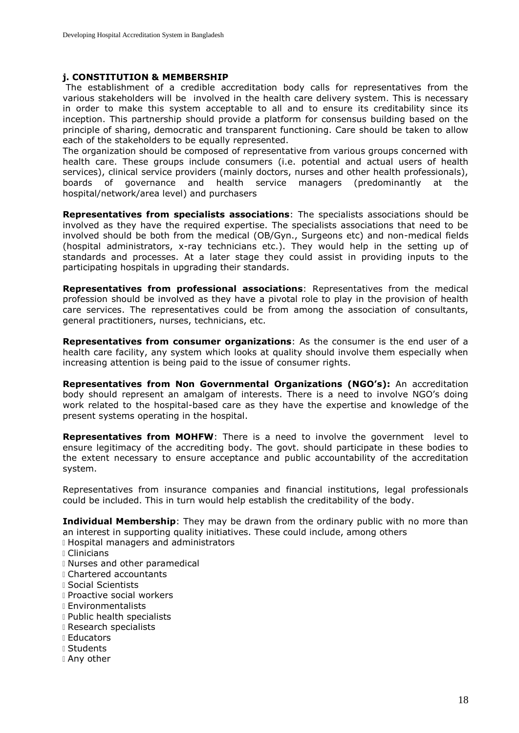#### **j. CONSTITUTION & MEMBERSHIP**

The establishment of a credible accreditation body calls for representatives from the various stakeholders will be involved in the health care delivery system. This is necessary in order to make this system acceptable to all and to ensure its creditability since its inception. This partnership should provide a platform for consensus building based on the principle of sharing, democratic and transparent functioning. Care should be taken to allow each of the stakeholders to be equally represented.

The organization should be composed of representative from various groups concerned with health care. These groups include consumers (i.e. potential and actual users of health services), clinical service providers (mainly doctors, nurses and other health professionals), boards of governance and health service managers (predominantly at the hospital/network/area level) and purchasers

**Representatives from specialists associations**: The specialists associations should be involved as they have the required expertise. The specialists associations that need to be involved should be both from the medical (OB/Gyn., Surgeons etc) and non-medical fields (hospital administrators, x-ray technicians etc.). They would help in the setting up of standards and processes. At a later stage they could assist in providing inputs to the participating hospitals in upgrading their standards.

**Representatives from professional associations**: Representatives from the medical profession should be involved as they have a pivotal role to play in the provision of health care services. The representatives could be from among the association of consultants, general practitioners, nurses, technicians, etc.

**Representatives from consumer organizations**: As the consumer is the end user of a health care facility, any system which looks at quality should involve them especially when increasing attention is being paid to the issue of consumer rights.

**Representatives from Non Governmental Organizations (NGO's):** An accreditation body should represent an amalgam of interests. There is a need to involve NGO's doing work related to the hospital-based care as they have the expertise and knowledge of the present systems operating in the hospital.

**Representatives from MOHFW:** There is a need to involve the government level to ensure legitimacy of the accrediting body. The govt. should participate in these bodies to the extent necessary to ensure acceptance and public accountability of the accreditation system.

Representatives from insurance companies and financial institutions, legal professionals could be included. This in turn would help establish the creditability of the body.

**Individual Membership**: They may be drawn from the ordinary public with no more than an interest in supporting quality initiatives. These could include, among others

- Hospital managers and administrators
- Clinicians
- Nurses and other paramedical
- Chartered accountants
- Social Scientists
- **I** Proactive social workers
- Environmentalists
- **Public health specialists**
- Research specialists
- Educators
- Students
- Any other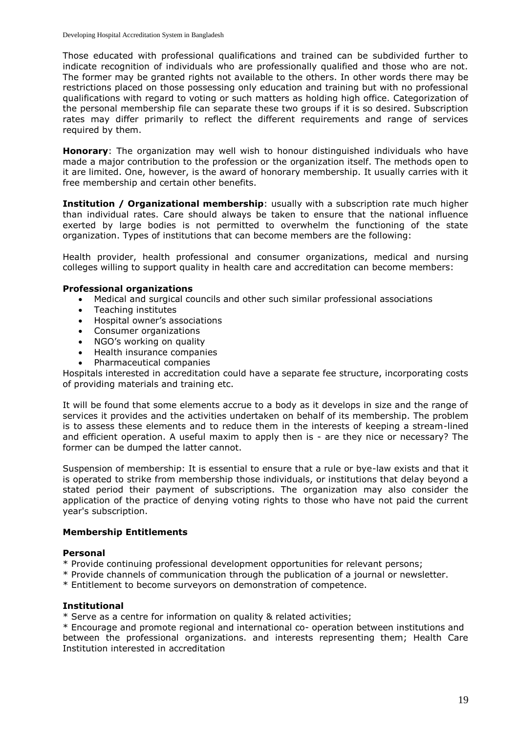Those educated with professional qualifications and trained can be subdivided further to indicate recognition of individuals who are professionally qualified and those who are not. The former may be granted rights not available to the others. In other words there may be restrictions placed on those possessing only education and training but with no professional qualifications with regard to voting or such matters as holding high office. Categorization of the personal membership file can separate these two groups if it is so desired. Subscription rates may differ primarily to reflect the different requirements and range of services required by them.

**Honorary**: The organization may well wish to honour distinguished individuals who have made a major contribution to the profession or the organization itself. The methods open to it are limited. One, however, is the award of honorary membership. It usually carries with it free membership and certain other benefits.

**Institution / Organizational membership**: usually with a subscription rate much higher than individual rates. Care should always be taken to ensure that the national influence exerted by large bodies is not permitted to overwhelm the functioning of the state organization. Types of institutions that can become members are the following:

Health provider, health professional and consumer organizations, medical and nursing colleges willing to support quality in health care and accreditation can become members:

## **Professional organizations**

- Medical and surgical councils and other such similar professional associations
- Teaching institutes
- Hospital owner's associations
- Consumer organizations
- NGO's working on quality
- Health insurance companies
- Pharmaceutical companies

Hospitals interested in accreditation could have a separate fee structure, incorporating costs of providing materials and training etc.

It will be found that some elements accrue to a body as it develops in size and the range of services it provides and the activities undertaken on behalf of its membership. The problem is to assess these elements and to reduce them in the interests of keeping a stream-lined and efficient operation. A useful maxim to apply then is - are they nice or necessary? The former can be dumped the latter cannot.

Suspension of membership: It is essential to ensure that a rule or bye-law exists and that it is operated to strike from membership those individuals, or institutions that delay beyond a stated period their payment of subscriptions. The organization may also consider the application of the practice of denying voting rights to those who have not paid the current year's subscription.

#### **Membership Entitlements**

#### **Personal**

- \* Provide continuing professional development opportunities for relevant persons;
- \* Provide channels of communication through the publication of a journal or newsletter.
- \* Entitlement to become surveyors on demonstration of competence.

#### **Institutional**

\* Serve as a centre for information on quality & related activities;

\* Encourage and promote regional and international co- operation between institutions and between the professional organizations. and interests representing them; Health Care Institution interested in accreditation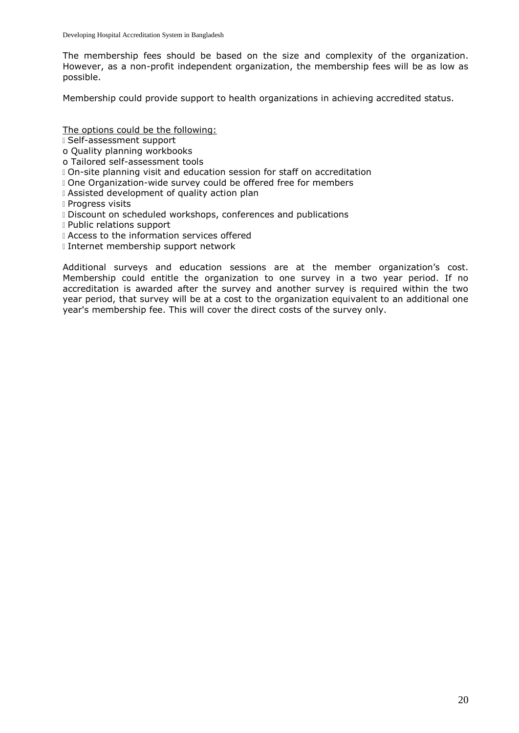The membership fees should be based on the size and complexity of the organization. However, as a non-profit independent organization, the membership fees will be as low as possible.

Membership could provide support to health organizations in achieving accredited status.

The options could be the following:

Self-assessment support

- o Quality planning workbooks
- o Tailored self-assessment tools
- On-site planning visit and education session for staff on accreditation
- One Organization-wide survey could be offered free for members
- Assisted development of quality action plan
- **Progress visits**
- Discount on scheduled workshops, conferences and publications
- Public relations support
- **I** Access to the information services offered
- I Internet membership support network

Additional surveys and education sessions are at the member organization's cost. Membership could entitle the organization to one survey in a two year period. If no accreditation is awarded after the survey and another survey is required within the two year period, that survey will be at a cost to the organization equivalent to an additional one year's membership fee. This will cover the direct costs of the survey only.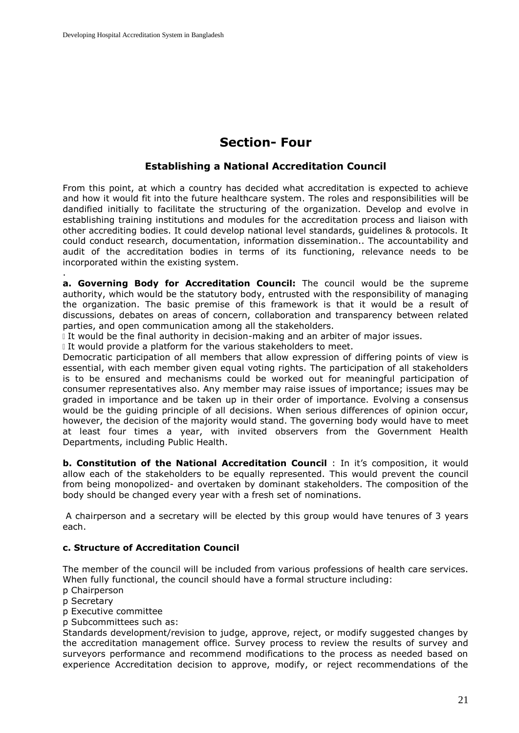# **Section- Four**

# **Establishing a National Accreditation Council**

From this point, at which a country has decided what accreditation is expected to achieve and how it would fit into the future healthcare system. The roles and responsibilities will be dandified initially to facilitate the structuring of the organization. Develop and evolve in establishing training institutions and modules for the accreditation process and liaison with other accrediting bodies. It could develop national level standards, guidelines & protocols. It could conduct research, documentation, information dissemination.. The accountability and audit of the accreditation bodies in terms of its functioning, relevance needs to be incorporated within the existing system.

**a. Governing Body for Accreditation Council:** The council would be the supreme authority, which would be the statutory body, entrusted with the responsibility of managing the organization. The basic premise of this framework is that it would be a result of discussions, debates on areas of concern, collaboration and transparency between related parties, and open communication among all the stakeholders.

It would be the final authority in decision-making and an arbiter of major issues.

If would provide a platform for the various stakeholders to meet.

Democratic participation of all members that allow expression of differing points of view is essential, with each member given equal voting rights. The participation of all stakeholders is to be ensured and mechanisms could be worked out for meaningful participation of consumer representatives also. Any member may raise issues of importance; issues may be graded in importance and be taken up in their order of importance. Evolving a consensus would be the guiding principle of all decisions. When serious differences of opinion occur, however, the decision of the majority would stand. The governing body would have to meet at least four times a year, with invited observers from the Government Health Departments, including Public Health.

**b. Constitution of the National Accreditation Council** : In it's composition, it would allow each of the stakeholders to be equally represented. This would prevent the council from being monopolized- and overtaken by dominant stakeholders. The composition of the body should be changed every year with a fresh set of nominations.

A chairperson and a secretary will be elected by this group would have tenures of 3 years each.

## **c. Structure of Accreditation Council**

The member of the council will be included from various professions of health care services. When fully functional, the council should have a formal structure including:

p Chairperson

p Secretary

.

p Executive committee

p Subcommittees such as:

Standards development/revision to judge, approve, reject, or modify suggested changes by the accreditation management office. Survey process to review the results of survey and surveyors performance and recommend modifications to the process as needed based on experience Accreditation decision to approve, modify, or reject recommendations of the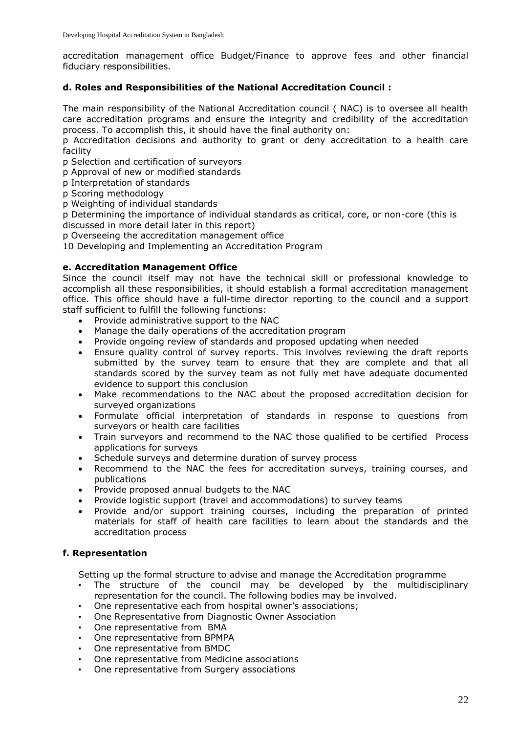accreditation management office Budget/Finance to approve fees and other financial fiduciary responsibilities.

## **d. Roles and Responsibilities of the National Accreditation Council :**

The main responsibility of the National Accreditation council ( NAC) is to oversee all health care accreditation programs and ensure the integrity and credibility of the accreditation process. To accomplish this, it should have the final authority on:

p Accreditation decisions and authority to grant or deny accreditation to a health care facility

p Selection and certification of surveyors

p Approval of new or modified standards

p Interpretation of standards

p Scoring methodology

p Weighting of individual standards

p Determining the importance of individual standards as critical, core, or non-core (this is discussed in more detail later in this report)

p Overseeing the accreditation management office

10 Developing and Implementing an Accreditation Program

## **e. Accreditation Management Office**

Since the council itself may not have the technical skill or professional knowledge to accomplish all these responsibilities, it should establish a formal accreditation management office. This office should have a full-time director reporting to the council and a support staff sufficient to fulfill the following functions:

- Provide administrative support to the NAC
- Manage the daily operations of the accreditation program
- Provide ongoing review of standards and proposed updating when needed
- Ensure quality control of survey reports. This involves reviewing the draft reports submitted by the survey team to ensure that they are complete and that all standards scored by the survey team as not fully met have adequate documented evidence to support this conclusion
- Make recommendations to the NAC about the proposed accreditation decision for surveyed organizations
- Formulate official interpretation of standards in response to questions from surveyors or health care facilities
- Train surveyors and recommend to the NAC those qualified to be certified Process applications for surveys
- Schedule surveys and determine duration of survey process
- Recommend to the NAC the fees for accreditation surveys, training courses, and publications
- Provide proposed annual budgets to the NAC
- Provide logistic support (travel and accommodations) to survey teams
- Provide and/or support training courses, including the preparation of printed materials for staff of health care facilities to learn about the standards and the accreditation process

## **f. Representation**

Setting up the formal structure to advise and manage the Accreditation programme

- The structure of the council may be developed by the multidisciplinary representation for the council. The following bodies may be involved.
- One representative each from hospital owner's associations;
- One Representative from Diagnostic Owner Association
- One representative from BMA
- One representative from BPMPA
- One representative from BMDC
- One representative from Medicine associations
- One representative from Surgery associations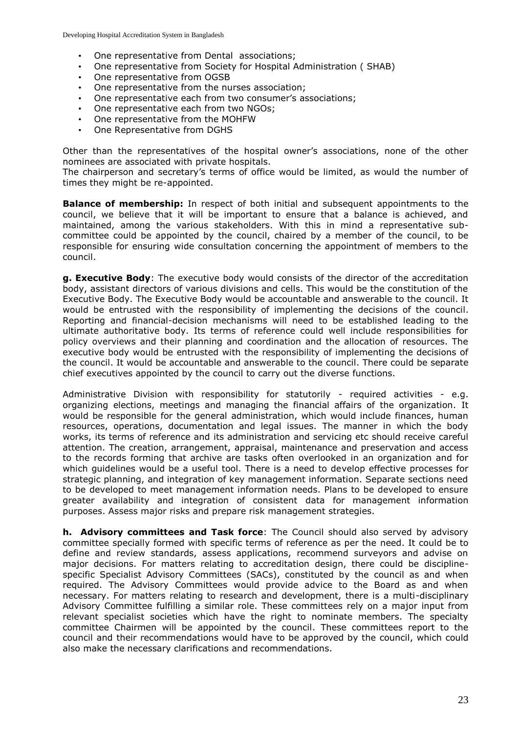- One representative from Dental associations;
- One representative from Society for Hospital Administration ( SHAB)
- One representative from OGSB
- One representative from the nurses association;
- One representative each from two consumer's associations;
- One representative each from two NGOs;
- One representative from the MOHFW
- One Representative from DGHS

Other than the representatives of the hospital owner's associations, none of the other nominees are associated with private hospitals.

The chairperson and secretary's terms of office would be limited, as would the number of times they might be re-appointed.

**Balance of membership:** In respect of both initial and subsequent appointments to the council, we believe that it will be important to ensure that a balance is achieved, and maintained, among the various stakeholders. With this in mind a representative subcommittee could be appointed by the council, chaired by a member of the council, to be responsible for ensuring wide consultation concerning the appointment of members to the council.

**g. Executive Body**: The executive body would consists of the director of the accreditation body, assistant directors of various divisions and cells. This would be the constitution of the Executive Body. The Executive Body would be accountable and answerable to the council. It would be entrusted with the responsibility of implementing the decisions of the council. Reporting and financial-decision mechanisms will need to be established leading to the ultimate authoritative body. Its terms of reference could well include responsibilities for policy overviews and their planning and coordination and the allocation of resources. The executive body would be entrusted with the responsibility of implementing the decisions of the council. It would be accountable and answerable to the council. There could be separate chief executives appointed by the council to carry out the diverse functions.

Administrative Division with responsibility for statutorily - required activities - e.g. organizing elections, meetings and managing the financial affairs of the organization. It would be responsible for the general administration, which would include finances, human resources, operations, documentation and legal issues. The manner in which the body works, its terms of reference and its administration and servicing etc should receive careful attention. The creation, arrangement, appraisal, maintenance and preservation and access to the records forming that archive are tasks often overlooked in an organization and for which guidelines would be a useful tool. There is a need to develop effective processes for strategic planning, and integration of key management information. Separate sections need to be developed to meet management information needs. Plans to be developed to ensure greater availability and integration of consistent data for management information purposes. Assess major risks and prepare risk management strategies.

**h. Advisory committees and Task force**: The Council should also served by advisory committee specially formed with specific terms of reference as per the need. It could be to define and review standards, assess applications, recommend surveyors and advise on major decisions. For matters relating to accreditation design, there could be disciplinespecific Specialist Advisory Committees (SACs), constituted by the council as and when required. The Advisory Committees would provide advice to the Board as and when necessary. For matters relating to research and development, there is a multi-disciplinary Advisory Committee fulfilling a similar role. These committees rely on a major input from relevant specialist societies which have the right to nominate members. The specialty committee Chairmen will be appointed by the council. These committees report to the council and their recommendations would have to be approved by the council, which could also make the necessary clarifications and recommendations.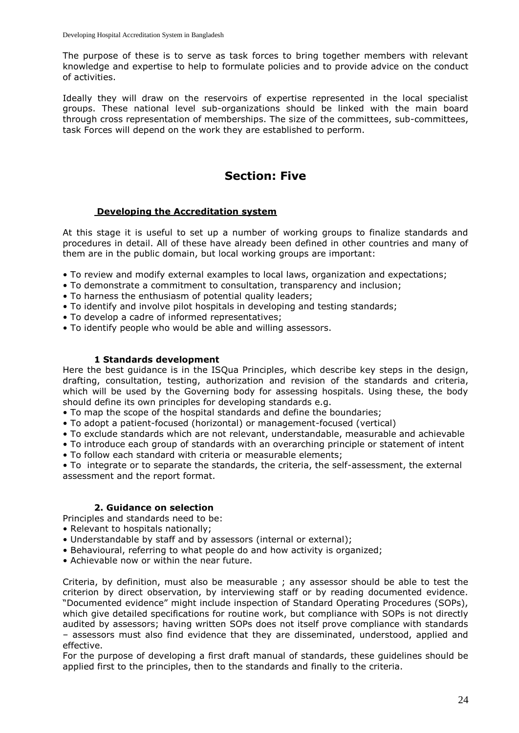The purpose of these is to serve as task forces to bring together members with relevant knowledge and expertise to help to formulate policies and to provide advice on the conduct of activities.

Ideally they will draw on the reservoirs of expertise represented in the local specialist groups. These national level sub-organizations should be linked with the main board through cross representation of memberships. The size of the committees, sub-committees, task Forces will depend on the work they are established to perform.

# **Section: Five**

## **Developing the Accreditation system**

At this stage it is useful to set up a number of working groups to finalize standards and procedures in detail. All of these have already been defined in other countries and many of them are in the public domain, but local working groups are important:

- To review and modify external examples to local laws, organization and expectations;
- To demonstrate a commitment to consultation, transparency and inclusion;
- To harness the enthusiasm of potential quality leaders;
- To identify and involve pilot hospitals in developing and testing standards;
- To develop a cadre of informed representatives;
- To identify people who would be able and willing assessors.

#### **1 Standards development**

Here the best guidance is in the ISQua Principles, which describe key steps in the design, drafting, consultation, testing, authorization and revision of the standards and criteria, which will be used by the Governing body for assessing hospitals. Using these, the body should define its own principles for developing standards e.g.

- To map the scope of the hospital standards and define the boundaries;
- To adopt a patient-focused (horizontal) or management-focused (vertical)
- To exclude standards which are not relevant, understandable, measurable and achievable
- To introduce each group of standards with an overarching principle or statement of intent
- To follow each standard with criteria or measurable elements;

• To integrate or to separate the standards, the criteria, the self-assessment, the external assessment and the report format.

#### **2. Guidance on selection**

Principles and standards need to be:

- Relevant to hospitals nationally;
- Understandable by staff and by assessors (internal or external);
- Behavioural, referring to what people do and how activity is organized;
- Achievable now or within the near future.

Criteria, by definition, must also be measurable ; any assessor should be able to test the criterion by direct observation, by interviewing staff or by reading documented evidence. "Documented evidence" might include inspection of Standard Operating Procedures (SOPs), which give detailed specifications for routine work, but compliance with SOPs is not directly audited by assessors; having written SOPs does not itself prove compliance with standards – assessors must also find evidence that they are disseminated, understood, applied and effective.

For the purpose of developing a first draft manual of standards, these guidelines should be applied first to the principles, then to the standards and finally to the criteria.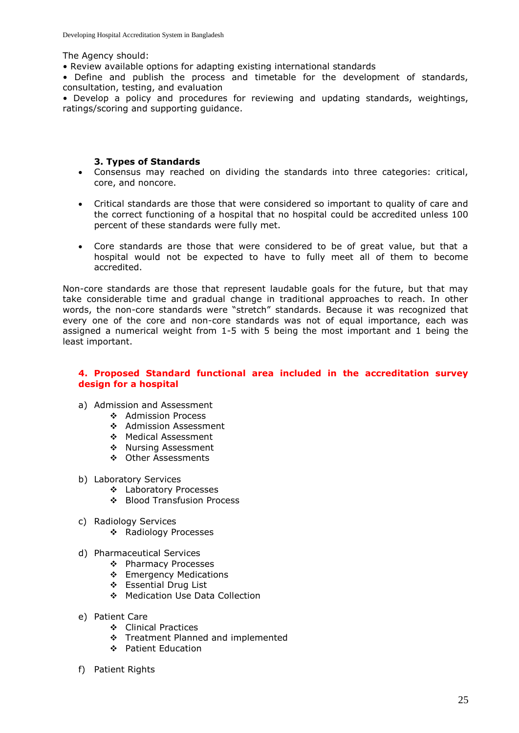The Agency should:

• Review available options for adapting existing international standards

• Define and publish the process and timetable for the development of standards, consultation, testing, and evaluation

• Develop a policy and procedures for reviewing and updating standards, weightings, ratings/scoring and supporting guidance.

#### **3. Types of Standards**

- Consensus may reached on dividing the standards into three categories: critical, core, and noncore.
- Critical standards are those that were considered so important to quality of care and the correct functioning of a hospital that no hospital could be accredited unless 100 percent of these standards were fully met.
- Core standards are those that were considered to be of great value, but that a hospital would not be expected to have to fully meet all of them to become accredited.

Non-core standards are those that represent laudable goals for the future, but that may take considerable time and gradual change in traditional approaches to reach. In other words, the non-core standards were "stretch" standards. Because it was recognized that every one of the core and non-core standards was not of equal importance, each was assigned a numerical weight from 1-5 with 5 being the most important and 1 being the least important.

#### **4. Proposed Standard functional area included in the accreditation survey design for a hospital**

- a) Admission and Assessment
	- ❖ Admission Process
	- ❖ Admission Assessment
	- Medical Assessment
	- **Mursing Assessment**
	- Other Assessments
- b) Laboratory Services
	- Laboratory Processes
	- Blood Transfusion Process
- c) Radiology Services
	- ❖ Radiology Processes
- d) Pharmaceutical Services
	- ❖ Pharmacy Processes
	- ❖ Emergency Medications
	- Essential Drug List
	- ◆ Medication Use Data Collection
- e) Patient Care
	- Clinical Practices
	- Treatment Planned and implemented
	- Patient Education
- f) Patient Rights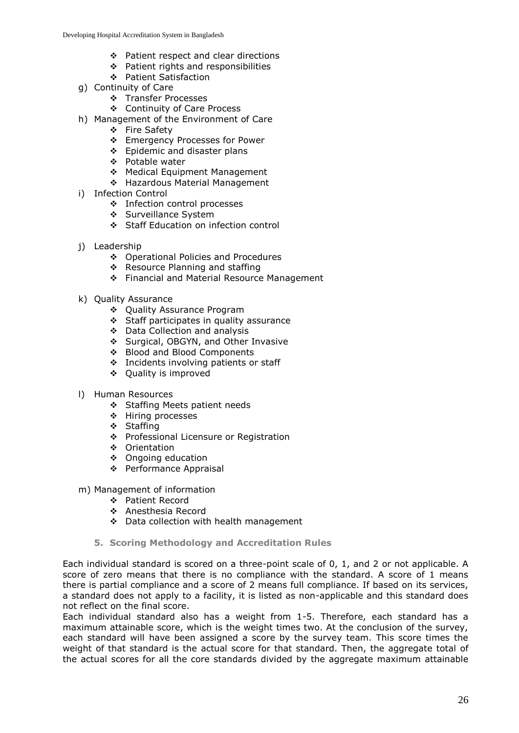- ❖ Patient respect and clear directions
- ❖ Patient rights and responsibilities
- Patient Satisfaction
- g) Continuity of Care
	- \* Transfer Processes
	- Continuity of Care Process
- h) Management of the Environment of Care
	- ❖ Fire Safety
		- Emergency Processes for Power
		- ❖ Epidemic and disaster plans
		- ❖ Potable water
		- ◆ Medical Equipment Management
		- ❖ Hazardous Material Management
- i) Infection Control
	- Infection control processes
	- ❖ Surveillance System
	- Staff Education on infection control
- j) Leadership
	- ❖ Operational Policies and Procedures
	- ❖ Resource Planning and staffing
	- ❖ Financial and Material Resource Management
- k) Quality Assurance
	- ◆ Quality Assurance Program
	- Staff participates in quality assurance
	- Data Collection and analysis
	- Surgical, OBGYN, and Other Invasive
	- Blood and Blood Components
	- ❖ Incidents involving patients or staff
	- ❖ Quality is improved
- l) Human Resources
	- Staffing Meets patient needs
	- ❖ Hiring processes
	- ❖ Staffing
	- ◆ Professional Licensure or Registration
	- ❖ Orientation
	- ❖ Ongoing education
	- ◆ Performance Appraisal
- m) Management of information
	- Patient Record
	- Anesthesia Record
	- ❖ Data collection with health management
	- **5. Scoring Methodology and Accreditation Rules**

Each individual standard is scored on a three-point scale of 0, 1, and 2 or not applicable. A score of zero means that there is no compliance with the standard. A score of 1 means there is partial compliance and a score of 2 means full compliance. If based on its services, a standard does not apply to a facility, it is listed as non-applicable and this standard does not reflect on the final score.

Each individual standard also has a weight from 1-5. Therefore, each standard has a maximum attainable score, which is the weight times two. At the conclusion of the survey, each standard will have been assigned a score by the survey team. This score times the weight of that standard is the actual score for that standard. Then, the aggregate total of the actual scores for all the core standards divided by the aggregate maximum attainable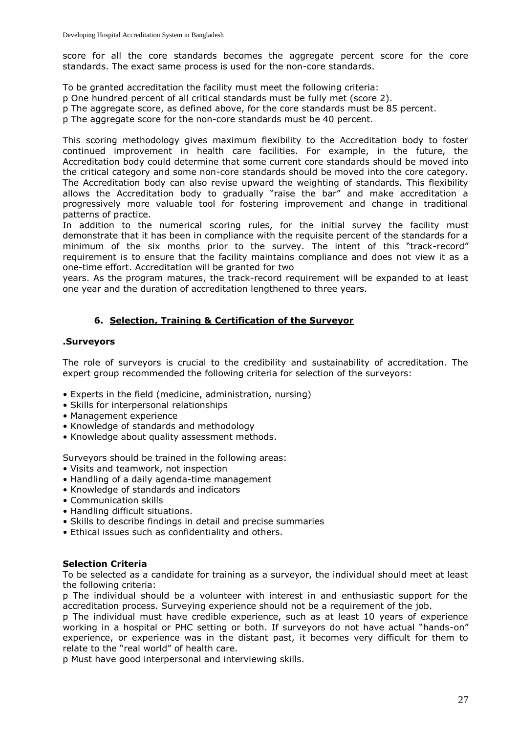score for all the core standards becomes the aggregate percent score for the core standards. The exact same process is used for the non-core standards.

To be granted accreditation the facility must meet the following criteria:

p One hundred percent of all critical standards must be fully met (score 2).

p The aggregate score, as defined above, for the core standards must be 85 percent.

p The aggregate score for the non-core standards must be 40 percent.

This scoring methodology gives maximum flexibility to the Accreditation body to foster continued improvement in health care facilities. For example, in the future, the Accreditation body could determine that some current core standards should be moved into the critical category and some non-core standards should be moved into the core category. The Accreditation body can also revise upward the weighting of standards. This flexibility allows the Accreditation body to gradually "raise the bar" and make accreditation a progressively more valuable tool for fostering improvement and change in traditional patterns of practice.

In addition to the numerical scoring rules, for the initial survey the facility must demonstrate that it has been in compliance with the requisite percent of the standards for a minimum of the six months prior to the survey. The intent of this "track-record" requirement is to ensure that the facility maintains compliance and does not view it as a one-time effort. Accreditation will be granted for two

years. As the program matures, the track-record requirement will be expanded to at least one year and the duration of accreditation lengthened to three years.

## **6. Selection, Training & Certification of the Surveyor**

#### **.Surveyors**

The role of surveyors is crucial to the credibility and sustainability of accreditation. The expert group recommended the following criteria for selection of the surveyors:

- Experts in the field (medicine, administration, nursing)
- Skills for interpersonal relationships
- Management experience
- Knowledge of standards and methodology
- Knowledge about quality assessment methods.

Surveyors should be trained in the following areas:

- Visits and teamwork, not inspection
- Handling of a daily agenda-time management
- Knowledge of standards and indicators
- Communication skills
- Handling difficult situations.
- Skills to describe findings in detail and precise summaries
- Ethical issues such as confidentiality and others.

#### **Selection Criteria**

To be selected as a candidate for training as a surveyor, the individual should meet at least the following criteria:

p The individual should be a volunteer with interest in and enthusiastic support for the accreditation process. Surveying experience should not be a requirement of the job.

p The individual must have credible experience, such as at least 10 years of experience working in a hospital or PHC setting or both. If surveyors do not have actual "hands-on" experience, or experience was in the distant past, it becomes very difficult for them to relate to the "real world" of health care.

p Must have good interpersonal and interviewing skills.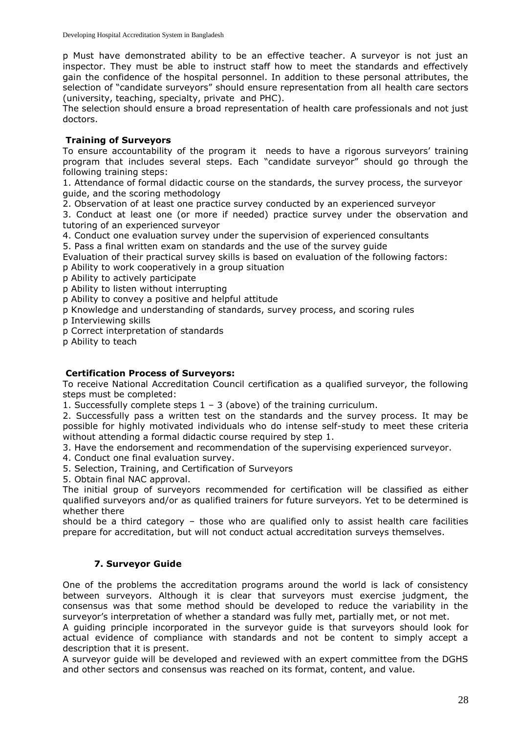p Must have demonstrated ability to be an effective teacher. A surveyor is not just an inspector. They must be able to instruct staff how to meet the standards and effectively gain the confidence of the hospital personnel. In addition to these personal attributes, the selection of "candidate surveyors" should ensure representation from all health care sectors (university, teaching, specialty, private and PHC).

The selection should ensure a broad representation of health care professionals and not just doctors.

## **Training of Surveyors**

To ensure accountability of the program it needs to have a rigorous surveyors' training program that includes several steps. Each "candidate surveyor" should go through the following training steps:

1. Attendance of formal didactic course on the standards, the survey process, the surveyor guide, and the scoring methodology

2. Observation of at least one practice survey conducted by an experienced surveyor

3. Conduct at least one (or more if needed) practice survey under the observation and tutoring of an experienced surveyor

4. Conduct one evaluation survey under the supervision of experienced consultants

5. Pass a final written exam on standards and the use of the survey guide

Evaluation of their practical survey skills is based on evaluation of the following factors:

p Ability to work cooperatively in a group situation

p Ability to actively participate

p Ability to listen without interrupting

p Ability to convey a positive and helpful attitude

p Knowledge and understanding of standards, survey process, and scoring rules

p Interviewing skills

p Correct interpretation of standards

p Ability to teach

## **Certification Process of Surveyors:**

To receive National Accreditation Council certification as a qualified surveyor, the following steps must be completed:

1. Successfully complete steps  $1 - 3$  (above) of the training curriculum.

2. Successfully pass a written test on the standards and the survey process. It may be possible for highly motivated individuals who do intense self-study to meet these criteria without attending a formal didactic course required by step 1.

3. Have the endorsement and recommendation of the supervising experienced surveyor.

4. Conduct one final evaluation survey.

5. Selection, Training, and Certification of Surveyors

5. Obtain final NAC approval.

The initial group of surveyors recommended for certification will be classified as either qualified surveyors and/or as qualified trainers for future surveyors. Yet to be determined is whether there

should be a third category – those who are qualified only to assist health care facilities prepare for accreditation, but will not conduct actual accreditation surveys themselves.

## **7. Surveyor Guide**

One of the problems the accreditation programs around the world is lack of consistency between surveyors. Although it is clear that surveyors must exercise judgment, the consensus was that some method should be developed to reduce the variability in the surveyor's interpretation of whether a standard was fully met, partially met, or not met.

A guiding principle incorporated in the surveyor guide is that surveyors should look for actual evidence of compliance with standards and not be content to simply accept a description that it is present.

A surveyor guide will be developed and reviewed with an expert committee from the DGHS and other sectors and consensus was reached on its format, content, and value.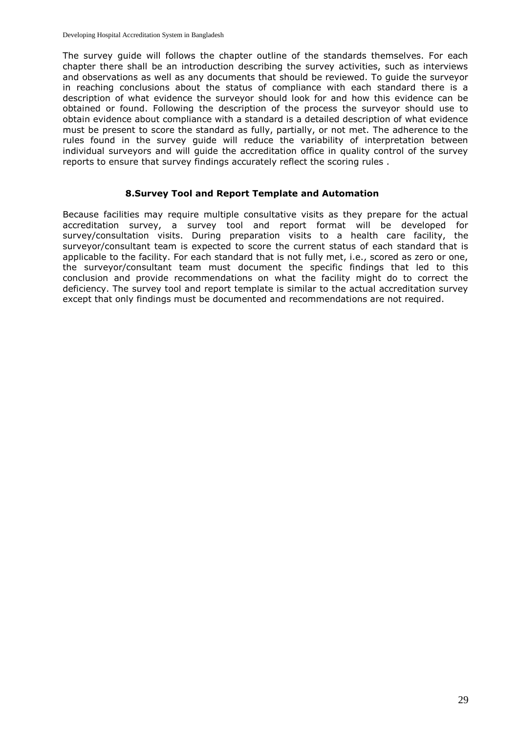The survey guide will follows the chapter outline of the standards themselves. For each chapter there shall be an introduction describing the survey activities, such as interviews and observations as well as any documents that should be reviewed. To guide the surveyor in reaching conclusions about the status of compliance with each standard there is a description of what evidence the surveyor should look for and how this evidence can be obtained or found. Following the description of the process the surveyor should use to obtain evidence about compliance with a standard is a detailed description of what evidence must be present to score the standard as fully, partially, or not met. The adherence to the rules found in the survey guide will reduce the variability of interpretation between individual surveyors and will guide the accreditation office in quality control of the survey reports to ensure that survey findings accurately reflect the scoring rules .

## **8.Survey Tool and Report Template and Automation**

Because facilities may require multiple consultative visits as they prepare for the actual accreditation survey, a survey tool and report format will be developed for survey/consultation visits. During preparation visits to a health care facility, the surveyor/consultant team is expected to score the current status of each standard that is applicable to the facility. For each standard that is not fully met, i.e., scored as zero or one, the surveyor/consultant team must document the specific findings that led to this conclusion and provide recommendations on what the facility might do to correct the deficiency. The survey tool and report template is similar to the actual accreditation survey except that only findings must be documented and recommendations are not required.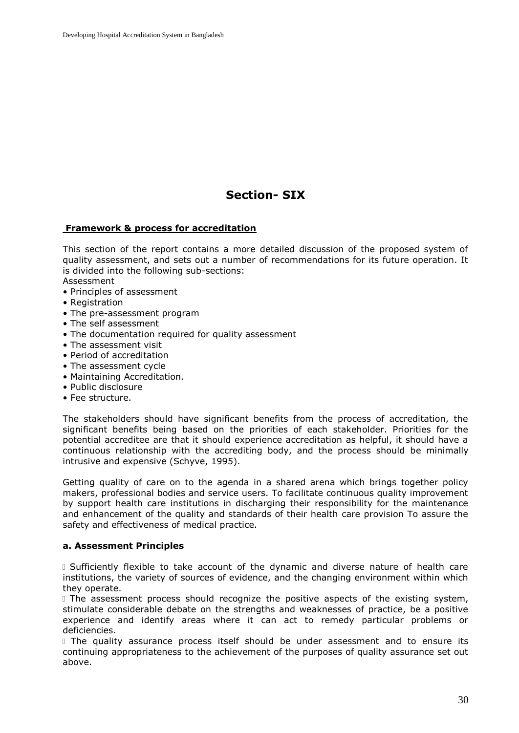# **Section- SIX**

## **Framework & process for accreditation**

This section of the report contains a more detailed discussion of the proposed system of quality assessment, and sets out a number of recommendations for its future operation. It is divided into the following sub-sections:

Assessment

- Principles of assessment
- Registration
- The pre-assessment program
- The self assessment
- The documentation required for quality assessment
- The assessment visit
- Period of accreditation
- The assessment cycle
- Maintaining Accreditation.
- Public disclosure
- Fee structure.

The stakeholders should have significant benefits from the process of accreditation, the significant benefits being based on the priorities of each stakeholder. Priorities for the potential accreditee are that it should experience accreditation as helpful, it should have a continuous relationship with the accrediting body, and the process should be minimally intrusive and expensive (Schyve, 1995).

Getting quality of care on to the agenda in a shared arena which brings together policy makers, professional bodies and service users. To facilitate continuous quality improvement by support health care institutions in discharging their responsibility for the maintenance and enhancement of the quality and standards of their health care provision To assure the safety and effectiveness of medical practice.

#### **a. Assessment Principles**

I Sufficiently flexible to take account of the dynamic and diverse nature of health care institutions, the variety of sources of evidence, and the changing environment within which they operate.

I The assessment process should recognize the positive aspects of the existing system, stimulate considerable debate on the strengths and weaknesses of practice, be a positive experience and identify areas where it can act to remedy particular problems or deficiencies.

I The quality assurance process itself should be under assessment and to ensure its continuing appropriateness to the achievement of the purposes of quality assurance set out above.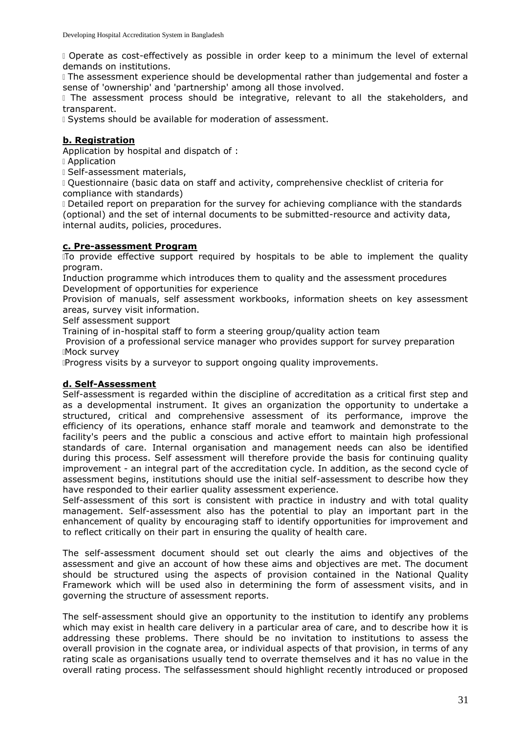Operate as cost-effectively as possible in order keep to a minimum the level of external demands on institutions.

The assessment experience should be developmental rather than judgemental and foster a sense of 'ownership' and 'partnership' among all those involved.

I The assessment process should be integrative, relevant to all the stakeholders, and transparent.

**I** Systems should be available for moderation of assessment.

## **b. Registration**

Application by hospital and dispatch of :

Application

Self-assessment materials,

Questionnaire (basic data on staff and activity, comprehensive checklist of criteria for compliance with standards)

Detailed report on preparation for the survey for achieving compliance with the standards (optional) and the set of internal documents to be submitted-resource and activity data, internal audits, policies, procedures.

#### **c. Pre-assessment Program**

To provide effective support required by hospitals to be able to implement the quality program.

Induction programme which introduces them to quality and the assessment procedures Development of opportunities for experience

Provision of manuals, self assessment workbooks, information sheets on key assessment areas, survey visit information.

Self assessment support

Training of in-hospital staff to form a steering group/quality action team

Provision of a professional service manager who provides support for survey preparation Mock survey

Progress visits by a surveyor to support ongoing quality improvements.

## **d. Self-Assessment**

Self-assessment is regarded within the discipline of accreditation as a critical first step and as a developmental instrument. It gives an organization the opportunity to undertake a structured, critical and comprehensive assessment of its performance, improve the efficiency of its operations, enhance staff morale and teamwork and demonstrate to the facility's peers and the public a conscious and active effort to maintain high professional standards of care. Internal organisation and management needs can also be identified during this process. Self assessment will therefore provide the basis for continuing quality improvement - an integral part of the accreditation cycle. In addition, as the second cycle of assessment begins, institutions should use the initial self-assessment to describe how they have responded to their earlier quality assessment experience.

Self-assessment of this sort is consistent with practice in industry and with total quality management. Self-assessment also has the potential to play an important part in the enhancement of quality by encouraging staff to identify opportunities for improvement and to reflect critically on their part in ensuring the quality of health care.

The self-assessment document should set out clearly the aims and objectives of the assessment and give an account of how these aims and objectives are met. The document should be structured using the aspects of provision contained in the National Quality Framework which will be used also in determining the form of assessment visits, and in governing the structure of assessment reports.

The self-assessment should give an opportunity to the institution to identify any problems which may exist in health care delivery in a particular area of care, and to describe how it is addressing these problems. There should be no invitation to institutions to assess the overall provision in the cognate area, or individual aspects of that provision, in terms of any rating scale as organisations usually tend to overrate themselves and it has no value in the overall rating process. The selfassessment should highlight recently introduced or proposed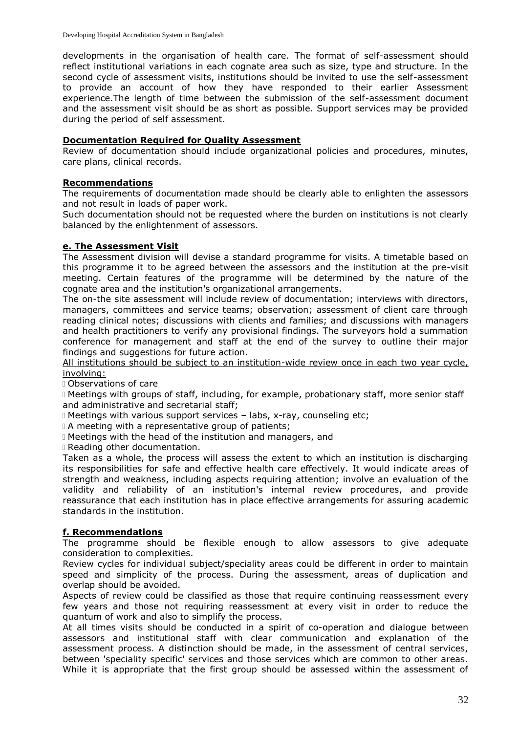developments in the organisation of health care. The format of self-assessment should reflect institutional variations in each cognate area such as size, type and structure. In the second cycle of assessment visits, institutions should be invited to use the self-assessment to provide an account of how they have responded to their earlier Assessment experience.The length of time between the submission of the self-assessment document and the assessment visit should be as short as possible. Support services may be provided during the period of self assessment.

#### **Documentation Required for Quality Assessment**

Review of documentation should include organizational policies and procedures, minutes, care plans, clinical records.

#### **Recommendations**

The requirements of documentation made should be clearly able to enlighten the assessors and not result in loads of paper work.

Such documentation should not be requested where the burden on institutions is not clearly balanced by the enlightenment of assessors.

#### **e. The Assessment Visit**

The Assessment division will devise a standard programme for visits. A timetable based on this programme it to be agreed between the assessors and the institution at the pre-visit meeting. Certain features of the programme will be determined by the nature of the cognate area and the institution's organizational arrangements.

The on-the site assessment will include review of documentation; interviews with directors, managers, committees and service teams; observation; assessment of client care through reading clinical notes; discussions with clients and families; and discussions with managers and health practitioners to verify any provisional findings. The surveyors hold a summation conference for management and staff at the end of the survey to outline their major findings and suggestions for future action.

All institutions should be subject to an institution-wide review once in each two year cycle, involving:

Observations of care

I Meetings with groups of staff, including, for example, probationary staff, more senior staff and administrative and secretarial staff;

Meetings with various support services – labs, x-ray, counseling etc;

I A meeting with a representative group of patients;

Meetings with the head of the institution and managers, and

Reading other documentation.

Taken as a whole, the process will assess the extent to which an institution is discharging its responsibilities for safe and effective health care effectively. It would indicate areas of strength and weakness, including aspects requiring attention; involve an evaluation of the validity and reliability of an institution's internal review procedures, and provide reassurance that each institution has in place effective arrangements for assuring academic standards in the institution.

## **f. Recommendations**

The programme should be flexible enough to allow assessors to give adequate consideration to complexities.

Review cycles for individual subject/speciality areas could be different in order to maintain speed and simplicity of the process. During the assessment, areas of duplication and overlap should be avoided.

Aspects of review could be classified as those that require continuing reassessment every few years and those not requiring reassessment at every visit in order to reduce the quantum of work and also to simplify the process.

At all times visits should be conducted in a spirit of co-operation and dialogue between assessors and institutional staff with clear communication and explanation of the assessment process. A distinction should be made, in the assessment of central services, between 'speciality specific' services and those services which are common to other areas. While it is appropriate that the first group should be assessed within the assessment of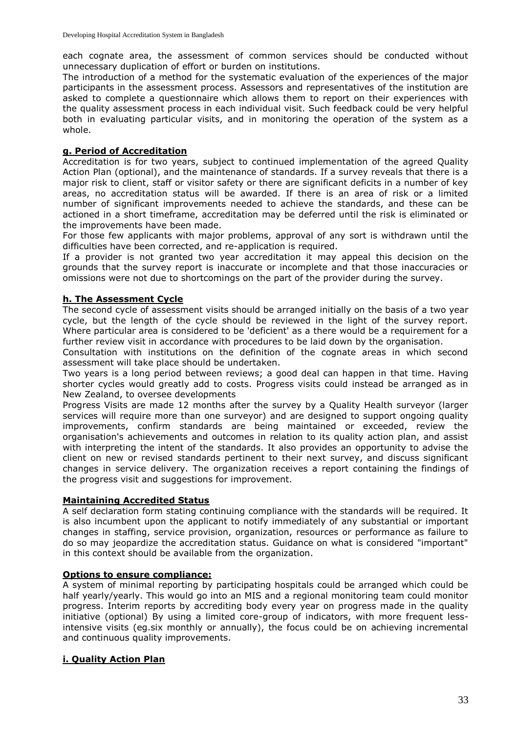each cognate area, the assessment of common services should be conducted without unnecessary duplication of effort or burden on institutions.

The introduction of a method for the systematic evaluation of the experiences of the major participants in the assessment process. Assessors and representatives of the institution are asked to complete a questionnaire which allows them to report on their experiences with the quality assessment process in each individual visit. Such feedback could be very helpful both in evaluating particular visits, and in monitoring the operation of the system as a whole.

## **g. Period of Accreditation**

Accreditation is for two years, subject to continued implementation of the agreed Quality Action Plan (optional), and the maintenance of standards. If a survey reveals that there is a major risk to client, staff or visitor safety or there are significant deficits in a number of key areas, no accreditation status will be awarded. If there is an area of risk or a limited number of significant improvements needed to achieve the standards, and these can be actioned in a short timeframe, accreditation may be deferred until the risk is eliminated or the improvements have been made.

For those few applicants with major problems, approval of any sort is withdrawn until the difficulties have been corrected, and re-application is required.

If a provider is not granted two year accreditation it may appeal this decision on the grounds that the survey report is inaccurate or incomplete and that those inaccuracies or omissions were not due to shortcomings on the part of the provider during the survey.

## **h. The Assessment Cycle**

The second cycle of assessment visits should be arranged initially on the basis of a two year cycle, but the length of the cycle should be reviewed in the light of the survey report. Where particular area is considered to be 'deficient' as a there would be a requirement for a further review visit in accordance with procedures to be laid down by the organisation.

Consultation with institutions on the definition of the cognate areas in which second assessment will take place should be undertaken.

Two years is a long period between reviews; a good deal can happen in that time. Having shorter cycles would greatly add to costs. Progress visits could instead be arranged as in New Zealand, to oversee developments

Progress Visits are made 12 months after the survey by a Quality Health surveyor (larger services will require more than one surveyor) and are designed to support ongoing quality improvements, confirm standards are being maintained or exceeded, review the organisation's achievements and outcomes in relation to its quality action plan, and assist with interpreting the intent of the standards. It also provides an opportunity to advise the client on new or revised standards pertinent to their next survey, and discuss significant changes in service delivery. The organization receives a report containing the findings of the progress visit and suggestions for improvement.

## **Maintaining Accredited Status**

A self declaration form stating continuing compliance with the standards will be required. It is also incumbent upon the applicant to notify immediately of any substantial or important changes in staffing, service provision, organization, resources or performance as failure to do so may jeopardize the accreditation status. Guidance on what is considered "important" in this context should be available from the organization.

## **Options to ensure compliance:**

A system of minimal reporting by participating hospitals could be arranged which could be half yearly/yearly. This would go into an MIS and a regional monitoring team could monitor progress. Interim reports by accrediting body every year on progress made in the quality initiative (optional) By using a limited core-group of indicators, with more frequent lessintensive visits (eg.six monthly or annually), the focus could be on achieving incremental and continuous quality improvements.

## **i. Quality Action Plan**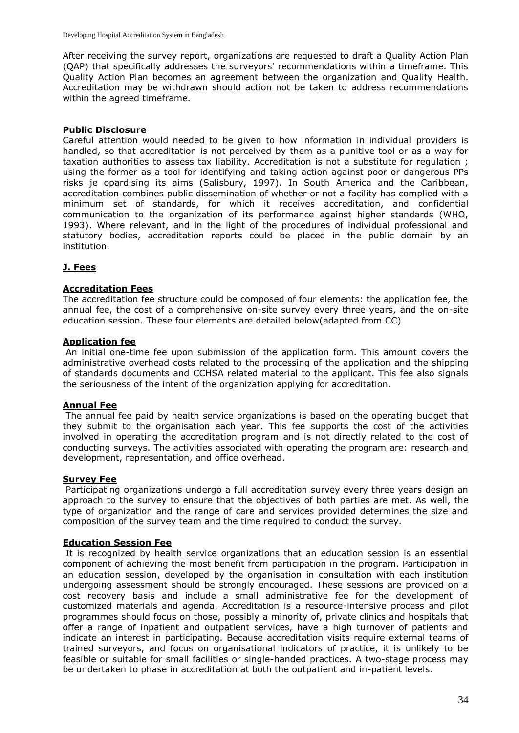After receiving the survey report, organizations are requested to draft a Quality Action Plan (QAP) that specifically addresses the surveyors' recommendations within a timeframe. This Quality Action Plan becomes an agreement between the organization and Quality Health. Accreditation may be withdrawn should action not be taken to address recommendations within the agreed timeframe.

#### **Public Disclosure**

Careful attention would needed to be given to how information in individual providers is handled, so that accreditation is not perceived by them as a punitive tool or as a way for taxation authorities to assess tax liability. Accreditation is not a substitute for regulation ; using the former as a tool for identifying and taking action against poor or dangerous PPs risks je opardising its aims (Salisbury, 1997). In South America and the Caribbean, accreditation combines public dissemination of whether or not a facility has complied with a minimum set of standards, for which it receives accreditation, and confidential communication to the organization of its performance against higher standards (WHO, 1993). Where relevant, and in the light of the procedures of individual professional and statutory bodies, accreditation reports could be placed in the public domain by an institution.

## **J. Fees**

#### **Accreditation Fees**

The accreditation fee structure could be composed of four elements: the application fee, the annual fee, the cost of a comprehensive on-site survey every three years, and the on-site education session. These four elements are detailed below(adapted from CC)

#### **Application fee**

An initial one-time fee upon submission of the application form. This amount covers the administrative overhead costs related to the processing of the application and the shipping of standards documents and CCHSA related material to the applicant. This fee also signals the seriousness of the intent of the organization applying for accreditation.

#### **Annual Fee**

The annual fee paid by health service organizations is based on the operating budget that they submit to the organisation each year. This fee supports the cost of the activities involved in operating the accreditation program and is not directly related to the cost of conducting surveys. The activities associated with operating the program are: research and development, representation, and office overhead.

#### **Survey Fee**

Participating organizations undergo a full accreditation survey every three years design an approach to the survey to ensure that the objectives of both parties are met. As well, the type of organization and the range of care and services provided determines the size and composition of the survey team and the time required to conduct the survey.

#### **Education Session Fee**

It is recognized by health service organizations that an education session is an essential component of achieving the most benefit from participation in the program. Participation in an education session, developed by the organisation in consultation with each institution undergoing assessment should be strongly encouraged. These sessions are provided on a cost recovery basis and include a small administrative fee for the development of customized materials and agenda. Accreditation is a resource-intensive process and pilot programmes should focus on those, possibly a minority of, private clinics and hospitals that offer a range of inpatient and outpatient services, have a high turnover of patients and indicate an interest in participating. Because accreditation visits require external teams of trained surveyors, and focus on organisational indicators of practice, it is unlikely to be feasible or suitable for small facilities or single-handed practices. A two-stage process may be undertaken to phase in accreditation at both the outpatient and in-patient levels.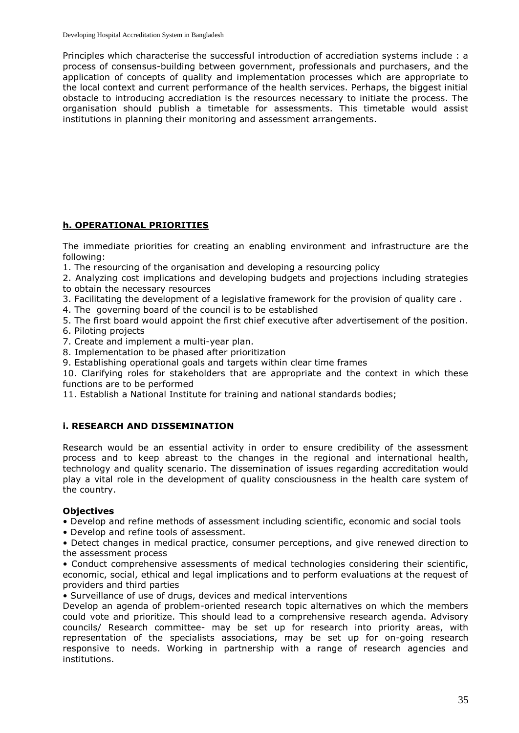Principles which characterise the successful introduction of accrediation systems include : a process of consensus-building between government, professionals and purchasers, and the application of concepts of quality and implementation processes which are appropriate to the local context and current performance of the health services. Perhaps, the biggest initial obstacle to introducing accrediation is the resources necessary to initiate the process. The organisation should publish a timetable for assessments. This timetable would assist institutions in planning their monitoring and assessment arrangements.

## **h. OPERATIONAL PRIORITIES**

The immediate priorities for creating an enabling environment and infrastructure are the following:

1. The resourcing of the organisation and developing a resourcing policy

2. Analyzing cost implications and developing budgets and projections including strategies to obtain the necessary resources

- 3. Facilitating the development of a legislative framework for the provision of quality care .
- 4. The governing board of the council is to be established
- 5. The first board would appoint the first chief executive after advertisement of the position.
- 6. Piloting projects
- 7. Create and implement a multi-year plan.
- 8. Implementation to be phased after prioritization
- 9. Establishing operational goals and targets within clear time frames

10. Clarifying roles for stakeholders that are appropriate and the context in which these functions are to be performed

11. Establish a National Institute for training and national standards bodies;

## **i. RESEARCH AND DISSEMINATION**

Research would be an essential activity in order to ensure credibility of the assessment process and to keep abreast to the changes in the regional and international health, technology and quality scenario. The dissemination of issues regarding accreditation would play a vital role in the development of quality consciousness in the health care system of the country.

## **Objectives**

• Develop and refine methods of assessment including scientific, economic and social tools

• Develop and refine tools of assessment.

• Detect changes in medical practice, consumer perceptions, and give renewed direction to the assessment process

• Conduct comprehensive assessments of medical technologies considering their scientific, economic, social, ethical and legal implications and to perform evaluations at the request of providers and third parties

• Surveillance of use of drugs, devices and medical interventions

Develop an agenda of problem-oriented research topic alternatives on which the members could vote and prioritize. This should lead to a comprehensive research agenda. Advisory councils/ Research committee- may be set up for research into priority areas, with representation of the specialists associations, may be set up for on-going research responsive to needs. Working in partnership with a range of research agencies and institutions.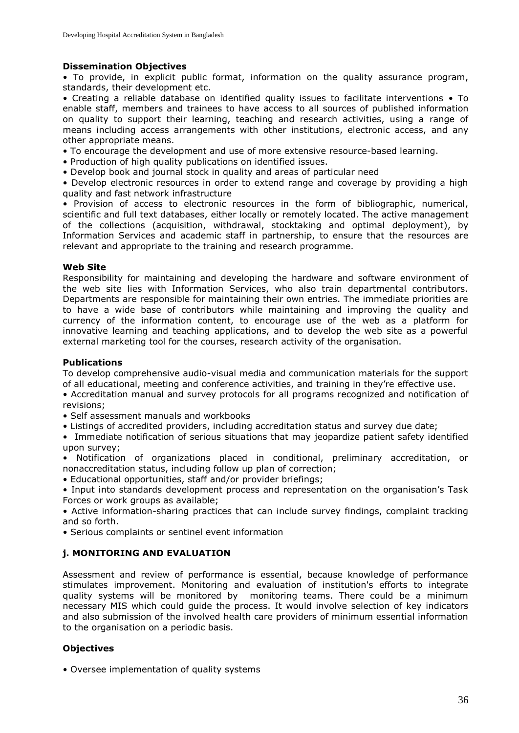## **Dissemination Objectives**

• To provide, in explicit public format, information on the quality assurance program, standards, their development etc.

• Creating a reliable database on identified quality issues to facilitate interventions • To enable staff, members and trainees to have access to all sources of published information on quality to support their learning, teaching and research activities, using a range of means including access arrangements with other institutions, electronic access, and any other appropriate means.

- To encourage the development and use of more extensive resource-based learning.
- Production of high quality publications on identified issues.
- Develop book and journal stock in quality and areas of particular need

• Develop electronic resources in order to extend range and coverage by providing a high quality and fast network infrastructure

• Provision of access to electronic resources in the form of bibliographic, numerical, scientific and full text databases, either locally or remotely located. The active management of the collections (acquisition, withdrawal, stocktaking and optimal deployment), by Information Services and academic staff in partnership, to ensure that the resources are relevant and appropriate to the training and research programme.

#### **Web Site**

Responsibility for maintaining and developing the hardware and software environment of the web site lies with Information Services, who also train departmental contributors. Departments are responsible for maintaining their own entries. The immediate priorities are to have a wide base of contributors while maintaining and improving the quality and currency of the information content, to encourage use of the web as a platform for innovative learning and teaching applications, and to develop the web site as a powerful external marketing tool for the courses, research activity of the organisation.

#### **Publications**

To develop comprehensive audio-visual media and communication materials for the support of all educational, meeting and conference activities, and training in they're effective use.

• Accreditation manual and survey protocols for all programs recognized and notification of revisions;

- Self assessment manuals and workbooks
- Listings of accredited providers, including accreditation status and survey due date;
- Immediate notification of serious situations that may jeopardize patient safety identified upon survey;

• Notification of organizations placed in conditional, preliminary accreditation, or nonaccreditation status, including follow up plan of correction;

• Educational opportunities, staff and/or provider briefings;

• Input into standards development process and representation on the organisation's Task Forces or work groups as available;

• Active information-sharing practices that can include survey findings, complaint tracking and so forth.

• Serious complaints or sentinel event information

## **j. MONITORING AND EVALUATION**

Assessment and review of performance is essential, because knowledge of performance stimulates improvement. Monitoring and evaluation of institution's efforts to integrate quality systems will be monitored by monitoring teams. There could be a minimum necessary MIS which could guide the process. It would involve selection of key indicators and also submission of the involved health care providers of minimum essential information to the organisation on a periodic basis.

## **Objectives**

• Oversee implementation of quality systems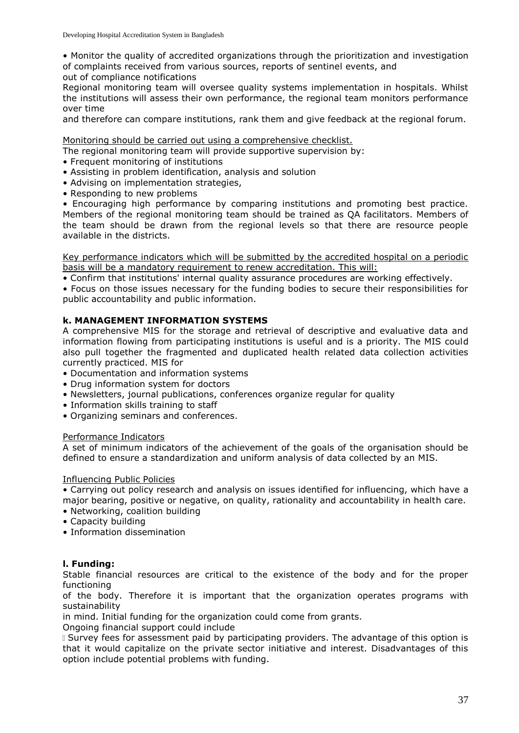• Monitor the quality of accredited organizations through the prioritization and investigation of complaints received from various sources, reports of sentinel events, and

out of compliance notifications

Regional monitoring team will oversee quality systems implementation in hospitals. Whilst the institutions will assess their own performance, the regional team monitors performance over time

and therefore can compare institutions, rank them and give feedback at the regional forum.

Monitoring should be carried out using a comprehensive checklist.

The regional monitoring team will provide supportive supervision by:

- Frequent monitoring of institutions
- Assisting in problem identification, analysis and solution
- Advising on implementation strategies,
- Responding to new problems

• Encouraging high performance by comparing institutions and promoting best practice. Members of the regional monitoring team should be trained as QA facilitators. Members of the team should be drawn from the regional levels so that there are resource people available in the districts.

Key performance indicators which will be submitted by the accredited hospital on a periodic basis will be a mandatory requirement to renew accreditation. This will:

• Confirm that institutions' internal quality assurance procedures are working effectively.

• Focus on those issues necessary for the funding bodies to secure their responsibilities for public accountability and public information.

## **k. MANAGEMENT INFORMATION SYSTEMS**

A comprehensive MIS for the storage and retrieval of descriptive and evaluative data and information flowing from participating institutions is useful and is a priority. The MIS could also pull together the fragmented and duplicated health related data collection activities currently practiced. MIS for

- Documentation and information systems
- Drug information system for doctors
- Newsletters, journal publications, conferences organize regular for quality
- Information skills training to staff
- Organizing seminars and conferences.

#### Performance Indicators

A set of minimum indicators of the achievement of the goals of the organisation should be defined to ensure a standardization and uniform analysis of data collected by an MIS.

#### Influencing Public Policies

• Carrying out policy research and analysis on issues identified for influencing, which have a major bearing, positive or negative, on quality, rationality and accountability in health care.

- Networking, coalition building
- Capacity building
- Information dissemination

## **l. Funding:**

Stable financial resources are critical to the existence of the body and for the proper functioning

of the body. Therefore it is important that the organization operates programs with sustainability

in mind. Initial funding for the organization could come from grants.

Ongoing financial support could include

Survey fees for assessment paid by participating providers. The advantage of this option is that it would capitalize on the private sector initiative and interest. Disadvantages of this option include potential problems with funding.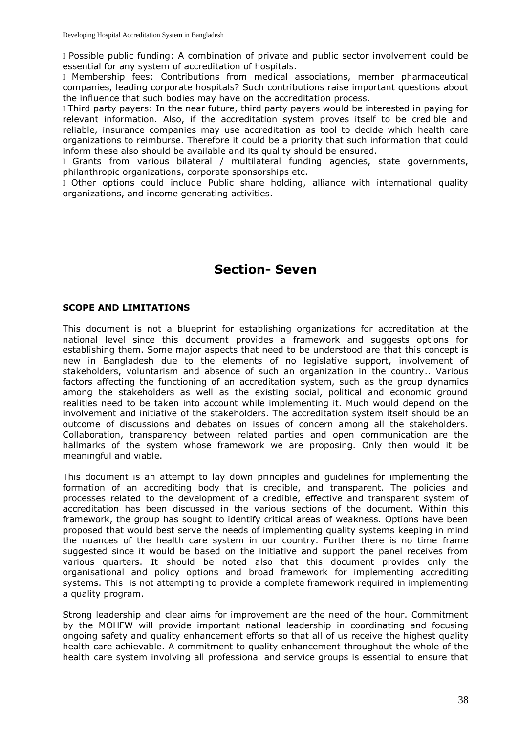Possible public funding: A combination of private and public sector involvement could be essential for any system of accreditation of hospitals.

Membership fees: Contributions from medical associations, member pharmaceutical companies, leading corporate hospitals? Such contributions raise important questions about the influence that such bodies may have on the accreditation process.

Third party payers: In the near future, third party payers would be interested in paying for relevant information. Also, if the accreditation system proves itself to be credible and reliable, insurance companies may use accreditation as tool to decide which health care organizations to reimburse. Therefore it could be a priority that such information that could inform these also should be available and its quality should be ensured.

I Grants from various bilateral / multilateral funding agencies, state governments, philanthropic organizations, corporate sponsorships etc.

Other options could include Public share holding, alliance with international quality organizations, and income generating activities.

# **Section- Seven**

## **SCOPE AND LIMITATIONS**

This document is not a blueprint for establishing organizations for accreditation at the national level since this document provides a framework and suggests options for establishing them. Some major aspects that need to be understood are that this concept is new in Bangladesh due to the elements of no legislative support, involvement of stakeholders, voluntarism and absence of such an organization in the country.. Various factors affecting the functioning of an accreditation system, such as the group dynamics among the stakeholders as well as the existing social, political and economic ground realities need to be taken into account while implementing it. Much would depend on the involvement and initiative of the stakeholders. The accreditation system itself should be an outcome of discussions and debates on issues of concern among all the stakeholders. Collaboration, transparency between related parties and open communication are the hallmarks of the system whose framework we are proposing. Only then would it be meaningful and viable.

This document is an attempt to lay down principles and guidelines for implementing the formation of an accrediting body that is credible, and transparent. The policies and processes related to the development of a credible, effective and transparent system of accreditation has been discussed in the various sections of the document. Within this framework, the group has sought to identify critical areas of weakness. Options have been proposed that would best serve the needs of implementing quality systems keeping in mind the nuances of the health care system in our country. Further there is no time frame suggested since it would be based on the initiative and support the panel receives from various quarters. It should be noted also that this document provides only the organisational and policy options and broad framework for implementing accrediting systems. This is not attempting to provide a complete framework required in implementing a quality program.

Strong leadership and clear aims for improvement are the need of the hour. Commitment by the MOHFW will provide important national leadership in coordinating and focusing ongoing safety and quality enhancement efforts so that all of us receive the highest quality health care achievable. A commitment to quality enhancement throughout the whole of the health care system involving all professional and service groups is essential to ensure that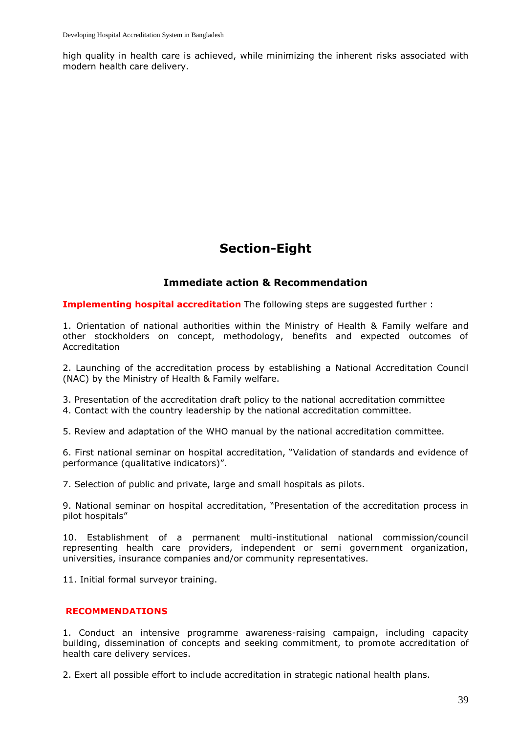high quality in health care is achieved, while minimizing the inherent risks associated with modern health care delivery.

# **Section-Eight**

## **Immediate action & Recommendation**

**Implementing hospital accreditation** The following steps are suggested further :

1. Orientation of national authorities within the Ministry of Health & Family welfare and other stockholders on concept, methodology, benefits and expected outcomes of Accreditation

2. Launching of the accreditation process by establishing a National Accreditation Council (NAC) by the Ministry of Health & Family welfare.

3. Presentation of the accreditation draft policy to the national accreditation committee

4. Contact with the country leadership by the national accreditation committee.

5. Review and adaptation of the WHO manual by the national accreditation committee.

6. First national seminar on hospital accreditation, "Validation of standards and evidence of performance (qualitative indicators)".

7. Selection of public and private, large and small hospitals as pilots.

9. National seminar on hospital accreditation, "Presentation of the accreditation process in pilot hospitals"

10. Establishment of a permanent multi-institutional national commission/council representing health care providers, independent or semi government organization, universities, insurance companies and/or community representatives.

11. Initial formal surveyor training.

#### **RECOMMENDATIONS**

1. Conduct an intensive programme awareness-raising campaign, including capacity building, dissemination of concepts and seeking commitment, to promote accreditation of health care delivery services.

2. Exert all possible effort to include accreditation in strategic national health plans.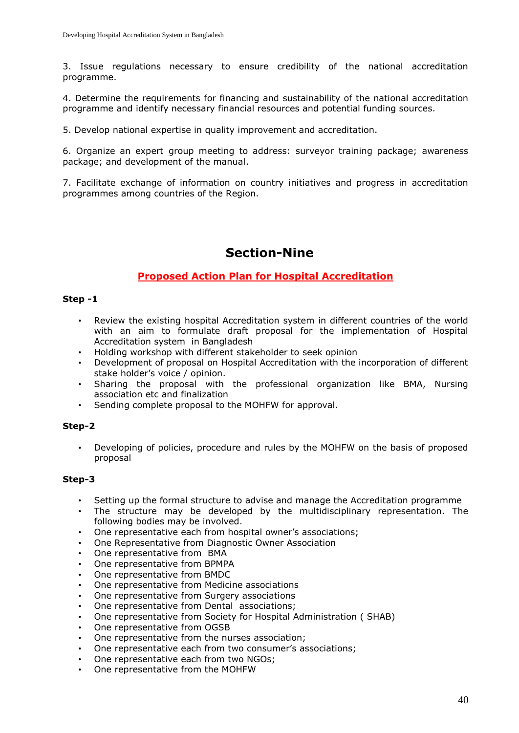3. Issue regulations necessary to ensure credibility of the national accreditation programme.

4. Determine the requirements for financing and sustainability of the national accreditation programme and identify necessary financial resources and potential funding sources.

5. Develop national expertise in quality improvement and accreditation.

6. Organize an expert group meeting to address: surveyor training package; awareness package; and development of the manual.

7. Facilitate exchange of information on country initiatives and progress in accreditation programmes among countries of the Region.

# **Section-Nine**

## **Proposed Action Plan for Hospital Accreditation**

#### **Step -1**

- Review the existing hospital Accreditation system in different countries of the world with an aim to formulate draft proposal for the implementation of Hospital Accreditation system in Bangladesh
- Holding workshop with different stakeholder to seek opinion
- Development of proposal on Hospital Accreditation with the incorporation of different stake holder's voice / opinion.
- Sharing the proposal with the professional organization like BMA, Nursing association etc and finalization
- Sending complete proposal to the MOHFW for approval.

#### **Step-2**

• Developing of policies, procedure and rules by the MOHFW on the basis of proposed proposal

#### **Step-3**

- Setting up the formal structure to advise and manage the Accreditation programme
- The structure may be developed by the multidisciplinary representation. The following bodies may be involved.
- One representative each from hospital owner's associations;
- One Representative from Diagnostic Owner Association
- One representative from BMA
- One representative from BPMPA
- One representative from BMDC
- One representative from Medicine associations
- One representative from Surgery associations
- One representative from Dental associations;
- One representative from Society for Hospital Administration ( SHAB)
- One representative from OGSB
- One representative from the nurses association;
- One representative each from two consumer's associations;
- One representative each from two NGOs;
- One representative from the MOHFW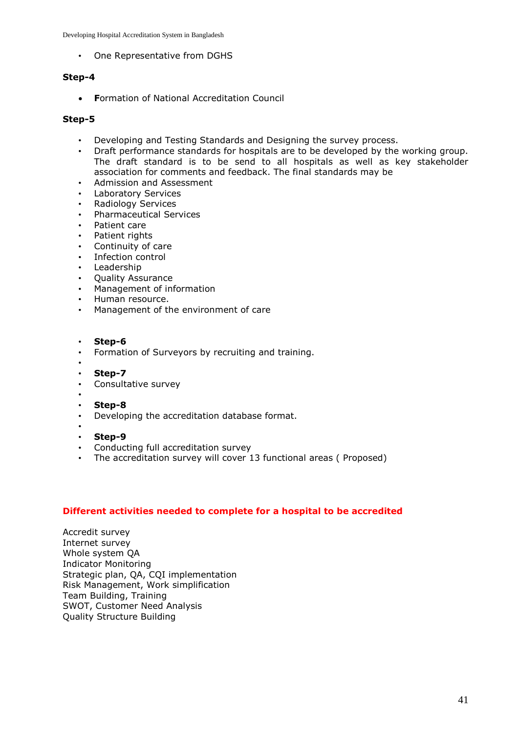• One Representative from DGHS

## **Step-4**

**F**ormation of National Accreditation Council

#### **Step-5**

- Developing and Testing Standards and Designing the survey process.
- Draft performance standards for hospitals are to be developed by the working group. The draft standard is to be send to all hospitals as well as key stakeholder association for comments and feedback. The final standards may be
- Admission and Assessment
- Laboratory Services
- Radiology Services
- Pharmaceutical Services
- Patient care
- Patient rights
- Continuity of care
- Infection control
- **Leadership**
- Quality Assurance
- Management of information
- Human resource.
- Management of the environment of care

#### • **Step-6**

- Formation of Surveyors by recruiting and training.
- •
- **Step-7**
- Consultative survey
- •
- **Step-8**
- Developing the accreditation database format.
- • **Step-9**
- Conducting full accreditation survey
- The accreditation survey will cover 13 functional areas (Proposed)

## **Different activities needed to complete for a hospital to be accredited**

Accredit survey Internet survey Whole system QA Indicator Monitoring Strategic plan, QA, CQI implementation Risk Management, Work simplification Team Building, Training SWOT, Customer Need Analysis Quality Structure Building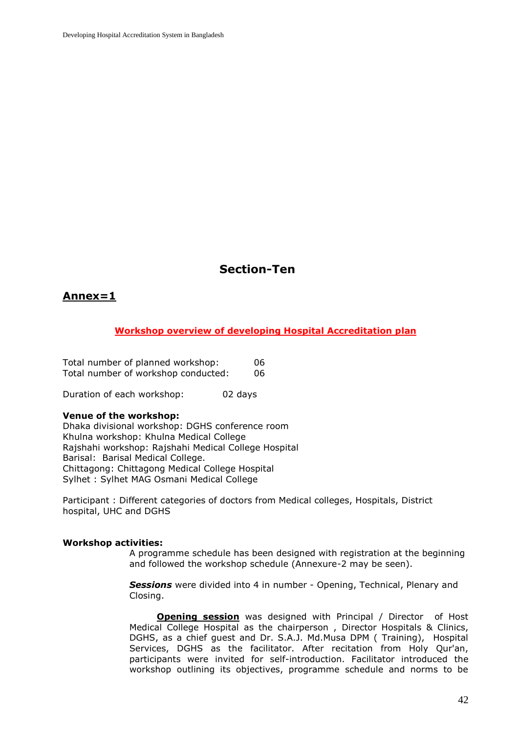# **Section-Ten**

# **Annex=1**

#### **Workshop overview of developing Hospital Accreditation plan**

Total number of planned workshop: 06 Total number of workshop conducted: 06

Duration of each workshop: 02 days

#### **Venue of the workshop:**

Dhaka divisional workshop: DGHS conference room Khulna workshop: Khulna Medical College Rajshahi workshop: Rajshahi Medical College Hospital Barisal: Barisal Medical College. Chittagong: Chittagong Medical College Hospital Sylhet : Sylhet MAG Osmani Medical College

Participant : Different categories of doctors from Medical colleges, Hospitals, District hospital, UHC and DGHS

#### **Workshop activities:**

A programme schedule has been designed with registration at the beginning and followed the workshop schedule (Annexure-2 may be seen).

*Sessions* were divided into 4 in number - Opening, Technical, Plenary and Closing.

**Opening session** was designed with Principal / Director of Host Medical College Hospital as the chairperson , Director Hospitals & Clinics, DGHS, as a chief guest and Dr. S.A.J. Md.Musa DPM ( Training), Hospital Services, DGHS as the facilitator. After recitation from Holy Qur'an, participants were invited for self-introduction. Facilitator introduced the workshop outlining its objectives, programme schedule and norms to be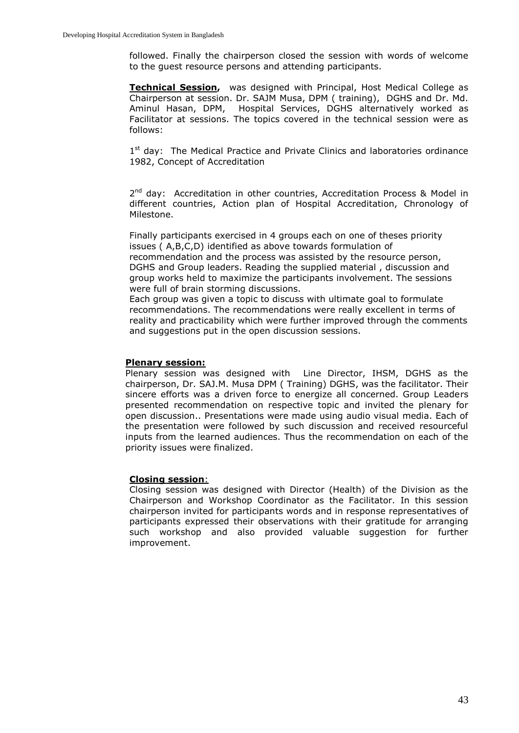followed. Finally the chairperson closed the session with words of welcome to the guest resource persons and attending participants.

**Technical Session,** was designed with Principal, Host Medical College as Chairperson at session. Dr. SAJM Musa, DPM ( training), DGHS and Dr. Md. Aminul Hasan, DPM, Hospital Services, DGHS alternatively worked as Facilitator at sessions. The topics covered in the technical session were as follows:

1<sup>st</sup> day: The Medical Practice and Private Clinics and laboratories ordinance 1982, Concept of Accreditation

2<sup>nd</sup> day: Accreditation in other countries, Accreditation Process & Model in different countries, Action plan of Hospital Accreditation, Chronology of Milestone.

Finally participants exercised in 4 groups each on one of theses priority issues ( A,B,C,D) identified as above towards formulation of recommendation and the process was assisted by the resource person, DGHS and Group leaders. Reading the supplied material , discussion and group works held to maximize the participants involvement. The sessions were full of brain storming discussions.

Each group was given a topic to discuss with ultimate goal to formulate recommendations. The recommendations were really excellent in terms of reality and practicability which were further improved through the comments and suggestions put in the open discussion sessions.

#### **Plenary session:**

Plenary session was designed with Line Director, IHSM, DGHS as the chairperson, Dr. SAJ.M. Musa DPM ( Training) DGHS, was the facilitator. Their sincere efforts was a driven force to energize all concerned. Group Leaders presented recommendation on respective topic and invited the plenary for open discussion.. Presentations were made using audio visual media. Each of the presentation were followed by such discussion and received resourceful inputs from the learned audiences. Thus the recommendation on each of the priority issues were finalized.

#### **Closing session**:

Closing session was designed with Director (Health) of the Division as the Chairperson and Workshop Coordinator as the Facilitator. In this session chairperson invited for participants words and in response representatives of participants expressed their observations with their gratitude for arranging such workshop and also provided valuable suggestion for further improvement.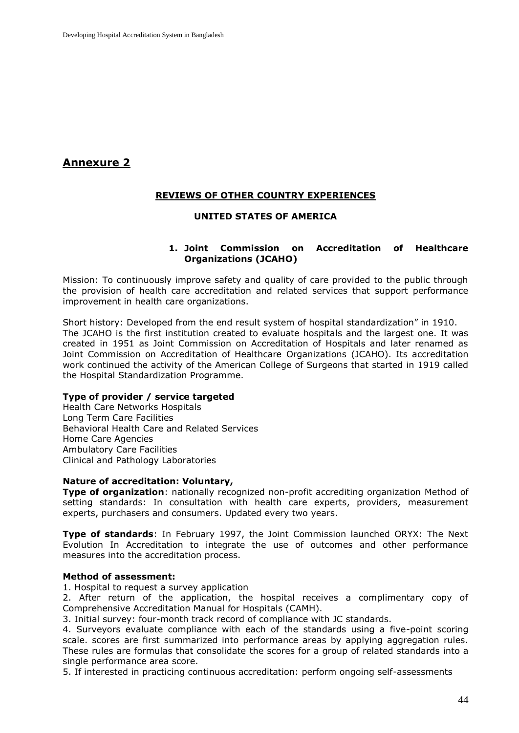# **Annexure 2**

## **REVIEWS OF OTHER COUNTRY EXPERIENCES**

## **UNITED STATES OF AMERICA**

#### **1. Joint Commission on Accreditation of Healthcare Organizations (JCAHO)**

Mission: To continuously improve safety and quality of care provided to the public through the provision of health care accreditation and related services that support performance improvement in health care organizations.

Short history: Developed from the end result system of hospital standardization" in 1910. The JCAHO is the first institution created to evaluate hospitals and the largest one. It was created in 1951 as Joint Commission on Accreditation of Hospitals and later renamed as Joint Commission on Accreditation of Healthcare Organizations (JCAHO). Its accreditation work continued the activity of the American College of Surgeons that started in 1919 called the Hospital Standardization Programme.

#### **Type of provider / service targeted**

Health Care Networks Hospitals Long Term Care Facilities Behavioral Health Care and Related Services Home Care Agencies Ambulatory Care Facilities Clinical and Pathology Laboratories

#### **Nature of accreditation: Voluntary,**

**Type of organization**: nationally recognized non-profit accrediting organization Method of setting standards: In consultation with health care experts, providers, measurement experts, purchasers and consumers. Updated every two years.

**Type of standards**: In February 1997, the Joint Commission launched ORYX: The Next Evolution In Accreditation to integrate the use of outcomes and other performance measures into the accreditation process.

#### **Method of assessment:**

1. Hospital to request a survey application

2. After return of the application, the hospital receives a complimentary copy of Comprehensive Accreditation Manual for Hospitals (CAMH).

3. Initial survey: four-month track record of compliance with JC standards.

4. Surveyors evaluate compliance with each of the standards using a five-point scoring scale. scores are first summarized into performance areas by applying aggregation rules. These rules are formulas that consolidate the scores for a group of related standards into a single performance area score.

5. If interested in practicing continuous accreditation: perform ongoing self-assessments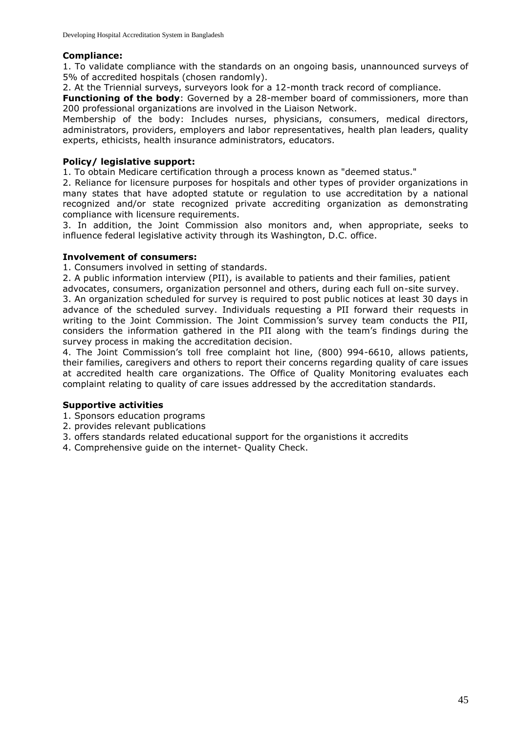## **Compliance:**

1. To validate compliance with the standards on an ongoing basis, unannounced surveys of 5% of accredited hospitals (chosen randomly).

2. At the Triennial surveys, surveyors look for a 12-month track record of compliance.

**Functioning of the body**: Governed by a 28-member board of commissioners, more than 200 professional organizations are involved in the Liaison Network.

Membership of the body: Includes nurses, physicians, consumers, medical directors, administrators, providers, employers and labor representatives, health plan leaders, quality experts, ethicists, health insurance administrators, educators.

#### **Policy/ legislative support:**

1. To obtain Medicare certification through a process known as "deemed status."

2. Reliance for licensure purposes for hospitals and other types of provider organizations in many states that have adopted statute or regulation to use accreditation by a national recognized and/or state recognized private accrediting organization as demonstrating compliance with licensure requirements.

3. In addition, the Joint Commission also monitors and, when appropriate, seeks to influence federal legislative activity through its Washington, D.C. office.

#### **Involvement of consumers:**

1. Consumers involved in setting of standards.

2. A public information interview (PII), is available to patients and their families, patient

advocates, consumers, organization personnel and others, during each full on-site survey. 3. An organization scheduled for survey is required to post public notices at least 30 days in advance of the scheduled survey. Individuals requesting a PII forward their requests in writing to the Joint Commission. The Joint Commission's survey team conducts the PII, considers the information gathered in the PII along with the team's findings during the survey process in making the accreditation decision.

4. The Joint Commission's toll free complaint hot line, (800) 994-6610, allows patients, their families, caregivers and others to report their concerns regarding quality of care issues at accredited health care organizations. The Office of Quality Monitoring evaluates each complaint relating to quality of care issues addressed by the accreditation standards.

## **Supportive activities**

- 1. Sponsors education programs
- 2. provides relevant publications
- 3. offers standards related educational support for the organistions it accredits
- 4. Comprehensive guide on the internet- Quality Check.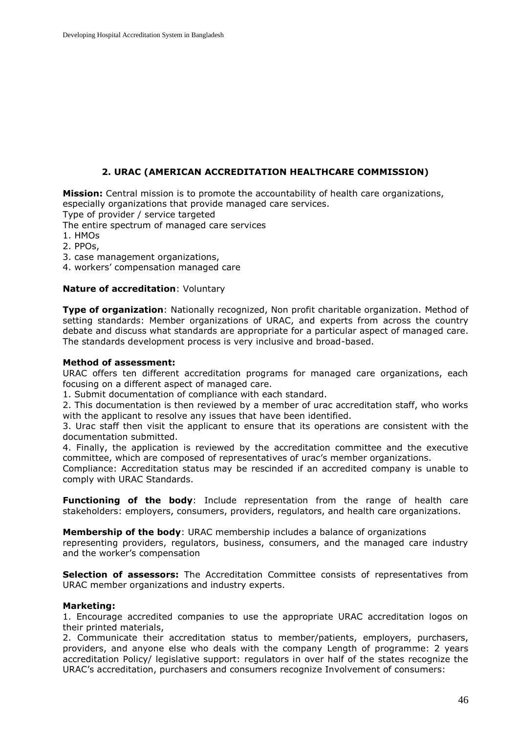## **2. URAC (AMERICAN ACCREDITATION HEALTHCARE COMMISSION)**

**Mission:** Central mission is to promote the accountability of health care organizations, especially organizations that provide managed care services.

Type of provider / service targeted

The entire spectrum of managed care services

1. HMOs

- 2. PPOs,
- 3. case management organizations,
- 4. workers' compensation managed care

#### **Nature of accreditation**: Voluntary

**Type of organization**: Nationally recognized, Non profit charitable organization. Method of setting standards: Member organizations of URAC, and experts from across the country debate and discuss what standards are appropriate for a particular aspect of managed care. The standards development process is very inclusive and broad-based.

#### **Method of assessment:**

URAC offers ten different accreditation programs for managed care organizations, each focusing on a different aspect of managed care.

1. Submit documentation of compliance with each standard.

2. This documentation is then reviewed by a member of urac accreditation staff, who works with the applicant to resolve any issues that have been identified.

3. Urac staff then visit the applicant to ensure that its operations are consistent with the documentation submitted.

4. Finally, the application is reviewed by the accreditation committee and the executive committee, which are composed of representatives of urac's member organizations.

Compliance: Accreditation status may be rescinded if an accredited company is unable to comply with URAC Standards.

**Functioning of the body**: Include representation from the range of health care stakeholders: employers, consumers, providers, regulators, and health care organizations.

**Membership of the body**: URAC membership includes a balance of organizations representing providers, regulators, business, consumers, and the managed care industry and the worker's compensation

**Selection of assessors:** The Accreditation Committee consists of representatives from URAC member organizations and industry experts.

#### **Marketing:**

1. Encourage accredited companies to use the appropriate URAC accreditation logos on their printed materials,

2. Communicate their accreditation status to member/patients, employers, purchasers, providers, and anyone else who deals with the company Length of programme: 2 years accreditation Policy/ legislative support: regulators in over half of the states recognize the URAC's accreditation, purchasers and consumers recognize Involvement of consumers: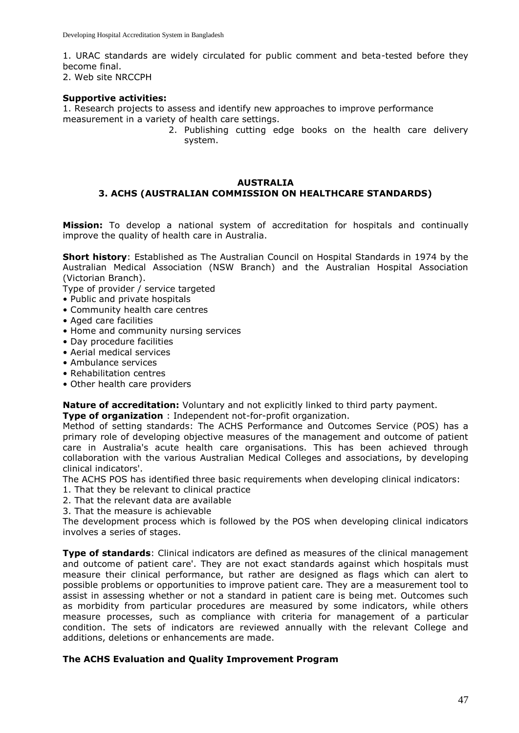1. URAC standards are widely circulated for public comment and beta-tested before they become final.

2. Web site NRCCPH

## **Supportive activities:**

1. Research projects to assess and identify new approaches to improve performance measurement in a variety of health care settings.

2. Publishing cutting edge books on the health care delivery system.

#### **AUSTRALIA 3. ACHS (AUSTRALIAN COMMISSION ON HEALTHCARE STANDARDS)**

**Mission:** To develop a national system of accreditation for hospitals and continually improve the quality of health care in Australia.

**Short history**: Established as The Australian Council on Hospital Standards in 1974 by the Australian Medical Association (NSW Branch) and the Australian Hospital Association (Victorian Branch).

Type of provider / service targeted

- Public and private hospitals
- Community health care centres
- Aged care facilities
- Home and community nursing services
- Day procedure facilities
- Aerial medical services
- Ambulance services
- Rehabilitation centres
- Other health care providers

**Nature of accreditation:** Voluntary and not explicitly linked to third party payment.

**Type of organization** : Independent not-for-profit organization.

Method of setting standards: The ACHS Performance and Outcomes Service (POS) has a primary role of developing objective measures of the management and outcome of patient care in Australia's acute health care organisations. This has been achieved through collaboration with the various Australian Medical Colleges and associations, by developing clinical indicators'.

The ACHS POS has identified three basic requirements when developing clinical indicators:

- 1. That they be relevant to clinical practice
- 2. That the relevant data are available
- 3. That the measure is achievable

The development process which is followed by the POS when developing clinical indicators involves a series of stages.

**Type of standards:** Clinical indicators are defined as measures of the clinical management and outcome of patient care'. They are not exact standards against which hospitals must measure their clinical performance, but rather are designed as flags which can alert to possible problems or opportunities to improve patient care. They are a measurement tool to assist in assessing whether or not a standard in patient care is being met. Outcomes such as morbidity from particular procedures are measured by some indicators, while others measure processes, such as compliance with criteria for management of a particular condition. The sets of indicators are reviewed annually with the relevant College and additions, deletions or enhancements are made.

## **The ACHS Evaluation and Quality Improvement Program**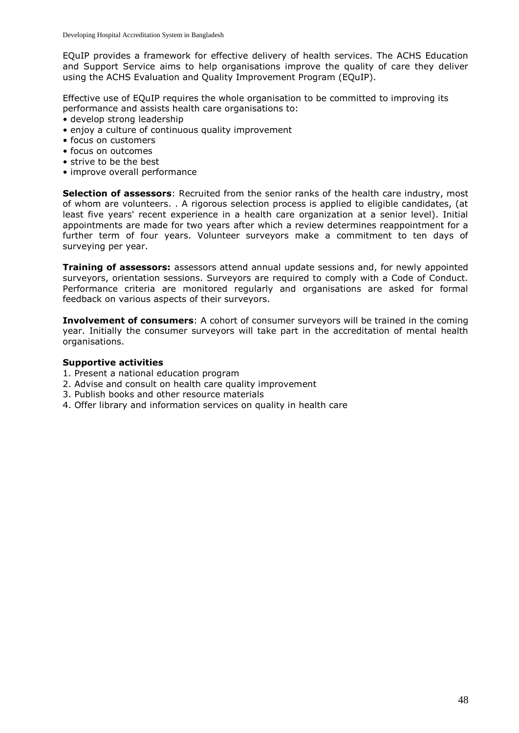EQuIP provides a framework for effective delivery of health services. The ACHS Education and Support Service aims to help organisations improve the quality of care they deliver using the ACHS Evaluation and Quality Improvement Program (EQuIP).

Effective use of EQuIP requires the whole organisation to be committed to improving its performance and assists health care organisations to:

- develop strong leadership
- enjoy a culture of continuous quality improvement
- focus on customers
- focus on outcomes
- strive to be the best
- improve overall performance

**Selection of assessors**: Recruited from the senior ranks of the health care industry, most of whom are volunteers. . A rigorous selection process is applied to eligible candidates, (at least five years' recent experience in a health care organization at a senior level). Initial appointments are made for two years after which a review determines reappointment for a further term of four years. Volunteer surveyors make a commitment to ten days of surveying per year.

**Training of assessors:** assessors attend annual update sessions and, for newly appointed surveyors, orientation sessions. Surveyors are required to comply with a Code of Conduct. Performance criteria are monitored regularly and organisations are asked for formal feedback on various aspects of their surveyors.

**Involvement of consumers**: A cohort of consumer surveyors will be trained in the coming year. Initially the consumer surveyors will take part in the accreditation of mental health organisations.

## **Supportive activities**

- 1. Present a national education program
- 2. Advise and consult on health care quality improvement
- 3. Publish books and other resource materials
- 4. Offer library and information services on quality in health care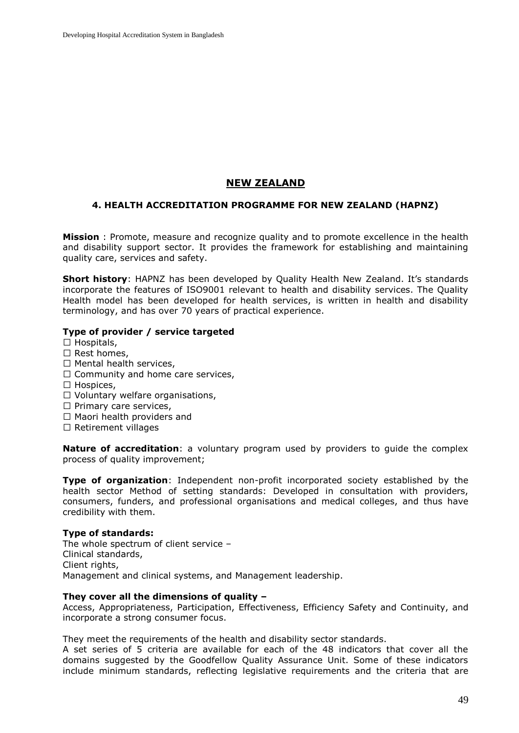# **NEW ZEALAND**

#### **4. HEALTH ACCREDITATION PROGRAMME FOR NEW ZEALAND (HAPNZ)**

**Mission** : Promote, measure and recognize quality and to promote excellence in the health and disability support sector. It provides the framework for establishing and maintaining quality care, services and safety.

**Short history**: HAPNZ has been developed by Quality Health New Zealand. It's standards incorporate the features of ISO9001 relevant to health and disability services. The Quality Health model has been developed for health services, is written in health and disability terminology, and has over 70 years of practical experience.

#### **Type of provider / service targeted**

- $\Box$  Hospitals,
- $\square$  Rest homes.
- $\Box$  Mental health services,
- $\Box$  Community and home care services,
- $\Box$  Hospices,
- $\Box$  Voluntary welfare organisations,
- $\square$  Primary care services,
- $\Box$  Maori health providers and
- $\square$  Retirement villages

**Nature of accreditation**: a voluntary program used by providers to guide the complex process of quality improvement;

**Type of organization**: Independent non-profit incorporated society established by the health sector Method of setting standards: Developed in consultation with providers, consumers, funders, and professional organisations and medical colleges, and thus have credibility with them.

#### **Type of standards:**

The whole spectrum of client service – Clinical standards, Client rights, Management and clinical systems, and Management leadership.

#### **They cover all the dimensions of quality –**

Access, Appropriateness, Participation, Effectiveness, Efficiency Safety and Continuity, and incorporate a strong consumer focus.

They meet the requirements of the health and disability sector standards.

A set series of 5 criteria are available for each of the 48 indicators that cover all the domains suggested by the Goodfellow Quality Assurance Unit. Some of these indicators include minimum standards, reflecting legislative requirements and the criteria that are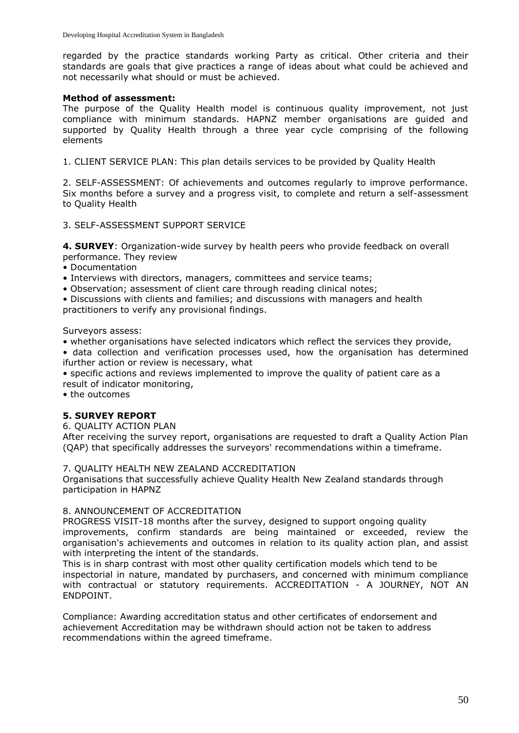regarded by the practice standards working Party as critical. Other criteria and their standards are goals that give practices a range of ideas about what could be achieved and not necessarily what should or must be achieved.

#### **Method of assessment:**

The purpose of the Quality Health model is continuous quality improvement, not just compliance with minimum standards. HAPNZ member organisations are guided and supported by Quality Health through a three year cycle comprising of the following elements

1. CLIENT SERVICE PLAN: This plan details services to be provided by Quality Health

2. SELF-ASSESSMENT: Of achievements and outcomes regularly to improve performance. Six months before a survey and a progress visit, to complete and return a self-assessment to Quality Health

3. SELF-ASSESSMENT SUPPORT SERVICE

**4. SURVEY**: Organization-wide survey by health peers who provide feedback on overall performance. They review

• Documentation

- Interviews with directors, managers, committees and service teams;
- Observation; assessment of client care through reading clinical notes;

• Discussions with clients and families; and discussions with managers and health practitioners to verify any provisional findings.

Surveyors assess:

• whether organisations have selected indicators which reflect the services they provide,

• data collection and verification processes used, how the organisation has determined ifurther action or review is necessary, what

• specific actions and reviews implemented to improve the quality of patient care as a result of indicator monitoring,

• the outcomes

## **5. SURVEY REPORT**

6. QUALITY ACTION PLAN

After receiving the survey report, organisations are requested to draft a Quality Action Plan (QAP) that specifically addresses the surveyors' recommendations within a timeframe.

#### 7. QUALITY HEALTH NEW ZEALAND ACCREDITATION

Organisations that successfully achieve Quality Health New Zealand standards through participation in HAPNZ

#### 8. ANNOUNCEMENT OF ACCREDITATION

PROGRESS VISIT-18 months after the survey, designed to support ongoing quality improvements, confirm standards are being maintained or exceeded, review the organisation's achievements and outcomes in relation to its quality action plan, and assist with interpreting the intent of the standards.

This is in sharp contrast with most other quality certification models which tend to be inspectorial in nature, mandated by purchasers, and concerned with minimum compliance with contractual or statutory requirements. ACCREDITATION - A JOURNEY, NOT AN ENDPOINT.

Compliance: Awarding accreditation status and other certificates of endorsement and achievement Accreditation may be withdrawn should action not be taken to address recommendations within the agreed timeframe.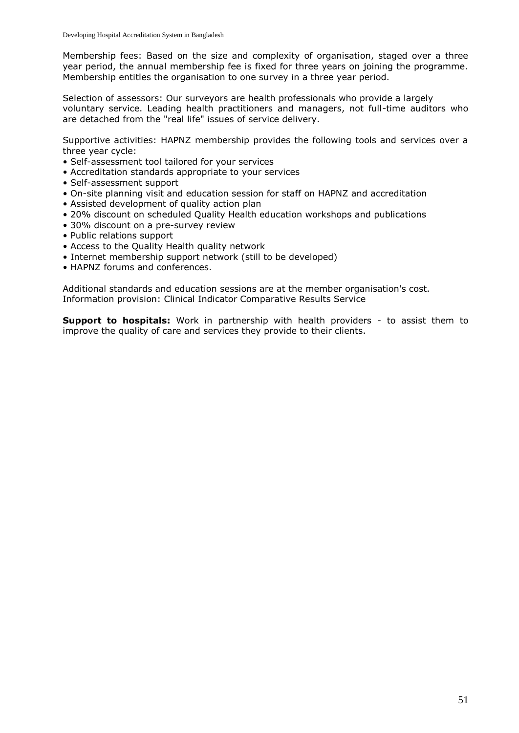Membership fees: Based on the size and complexity of organisation, staged over a three year period, the annual membership fee is fixed for three years on joining the programme. Membership entitles the organisation to one survey in a three year period.

Selection of assessors: Our surveyors are health professionals who provide a largely voluntary service. Leading health practitioners and managers, not full-time auditors who are detached from the "real life" issues of service delivery.

Supportive activities: HAPNZ membership provides the following tools and services over a three year cycle:

- Self-assessment tool tailored for your services
- Accreditation standards appropriate to your services
- Self-assessment support
- On-site planning visit and education session for staff on HAPNZ and accreditation
- Assisted development of quality action plan
- 20% discount on scheduled Quality Health education workshops and publications
- 30% discount on a pre-survey review
- Public relations support
- Access to the Quality Health quality network
- Internet membership support network (still to be developed)
- HAPNZ forums and conferences.

Additional standards and education sessions are at the member organisation's cost. Information provision: Clinical Indicator Comparative Results Service

**Support to hospitals:** Work in partnership with health providers - to assist them to improve the quality of care and services they provide to their clients.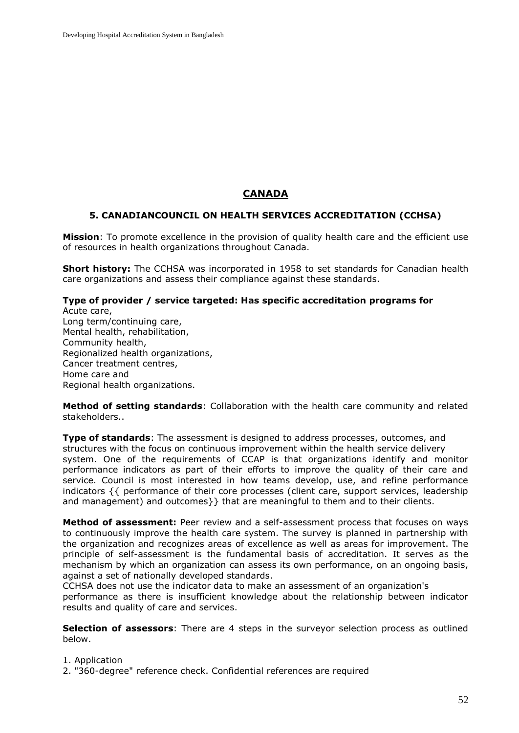# **CANADA**

#### **5. CANADIANCOUNCIL ON HEALTH SERVICES ACCREDITATION (CCHSA)**

**Mission**: To promote excellence in the provision of quality health care and the efficient use of resources in health organizations throughout Canada.

**Short history:** The CCHSA was incorporated in 1958 to set standards for Canadian health care organizations and assess their compliance against these standards.

#### **Type of provider / service targeted: Has specific accreditation programs for** Acute care,

Long term/continuing care, Mental health, rehabilitation, Community health, Regionalized health organizations, Cancer treatment centres, Home care and Regional health organizations.

**Method of setting standards**: Collaboration with the health care community and related stakeholders..

**Type of standards**: The assessment is designed to address processes, outcomes, and structures with the focus on continuous improvement within the health service delivery system. One of the requirements of CCAP is that organizations identify and monitor performance indicators as part of their efforts to improve the quality of their care and service. Council is most interested in how teams develop, use, and refine performance indicators {{ performance of their core processes (client care, support services, leadership and management) and outcomes}} that are meaningful to them and to their clients.

**Method of assessment:** Peer review and a self-assessment process that focuses on ways to continuously improve the health care system. The survey is planned in partnership with the organization and recognizes areas of excellence as well as areas for improvement. The principle of self-assessment is the fundamental basis of accreditation. It serves as the mechanism by which an organization can assess its own performance, on an ongoing basis, against a set of nationally developed standards.

CCHSA does not use the indicator data to make an assessment of an organization's performance as there is insufficient knowledge about the relationship between indicator results and quality of care and services.

**Selection of assessors**: There are 4 steps in the surveyor selection process as outlined below.

1. Application

2. "360-degree" reference check. Confidential references are required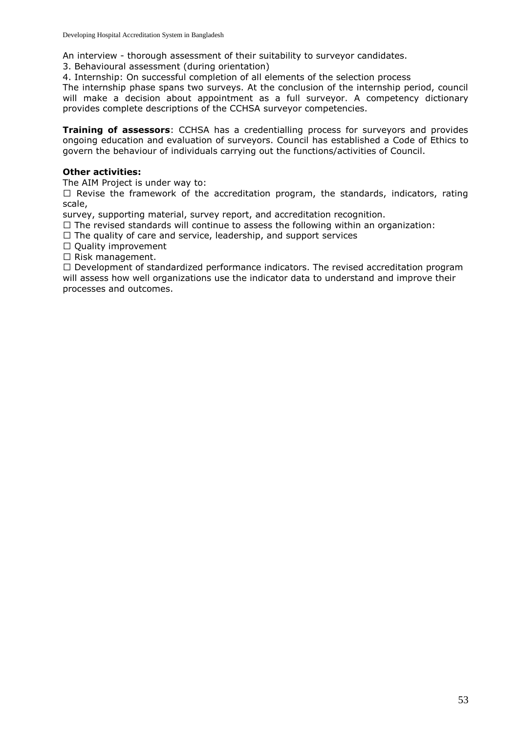An interview - thorough assessment of their suitability to surveyor candidates.

3. Behavioural assessment (during orientation)

4. Internship: On successful completion of all elements of the selection process

The internship phase spans two surveys. At the conclusion of the internship period, council will make a decision about appointment as a full surveyor. A competency dictionary provides complete descriptions of the CCHSA surveyor competencies.

**Training of assessors**: CCHSA has a credentialling process for surveyors and provides ongoing education and evaluation of surveyors. Council has established a Code of Ethics to govern the behaviour of individuals carrying out the functions/activities of Council.

## **Other activities:**

The AIM Project is under way to:

 $\Box$  Revise the framework of the accreditation program, the standards, indicators, rating scale,

survey, supporting material, survey report, and accreditation recognition.

 $\Box$  The revised standards will continue to assess the following within an organization:

 $\Box$  The quality of care and service, leadership, and support services

 $\Box$  Quality improvement

 $\Box$  Risk management.

 $\Box$  Development of standardized performance indicators. The revised accreditation program will assess how well organizations use the indicator data to understand and improve their processes and outcomes.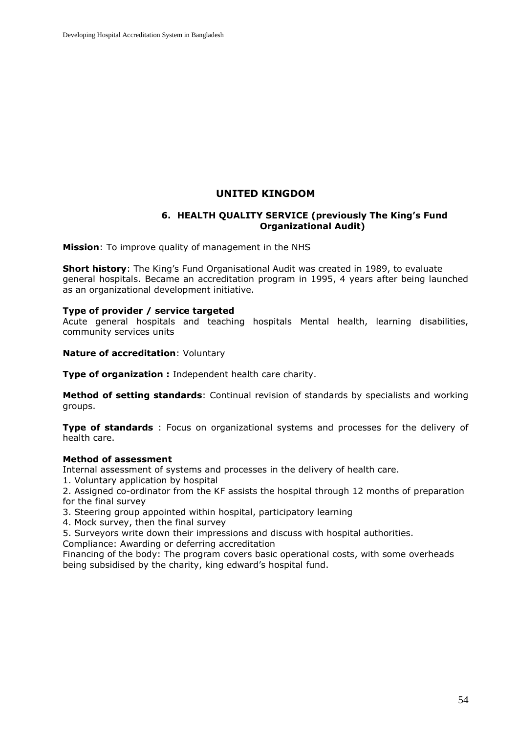## **UNITED KINGDOM**

#### **6. HEALTH QUALITY SERVICE (previously The King's Fund Organizational Audit)**

**Mission**: To improve quality of management in the NHS

**Short history**: The King's Fund Organisational Audit was created in 1989, to evaluate general hospitals. Became an accreditation program in 1995, 4 years after being launched as an organizational development initiative.

#### **Type of provider / service targeted**

Acute general hospitals and teaching hospitals Mental health, learning disabilities, community services units

**Nature of accreditation**: Voluntary

**Type of organization :** Independent health care charity.

**Method of setting standards**: Continual revision of standards by specialists and working groups.

**Type of standards** : Focus on organizational systems and processes for the delivery of health care.

#### **Method of assessment**

Internal assessment of systems and processes in the delivery of health care.

1. Voluntary application by hospital

2. Assigned co-ordinator from the KF assists the hospital through 12 months of preparation for the final survey

3. Steering group appointed within hospital, participatory learning

4. Mock survey, then the final survey

5. Surveyors write down their impressions and discuss with hospital authorities.

Compliance: Awarding or deferring accreditation

Financing of the body: The program covers basic operational costs, with some overheads being subsidised by the charity, king edward's hospital fund.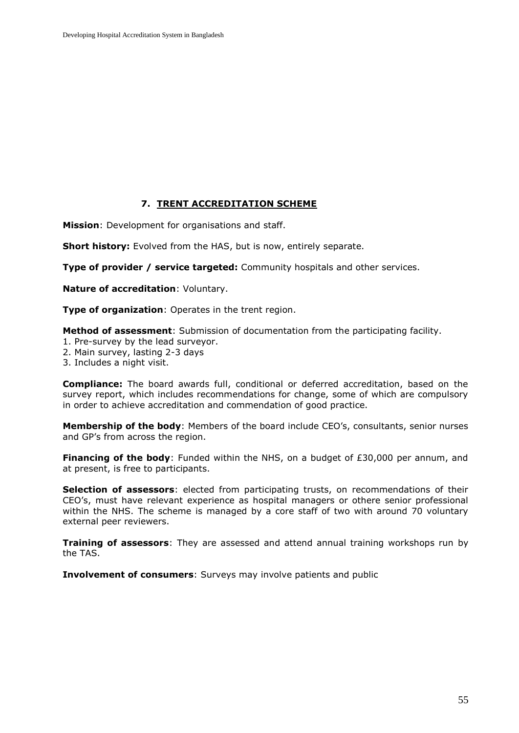## **7. TRENT ACCREDITATION SCHEME**

**Mission**: Development for organisations and staff.

**Short history:** Evolved from the HAS, but is now, entirely separate.

**Type of provider / service targeted:** Community hospitals and other services.

**Nature of accreditation**: Voluntary.

**Type of organization**: Operates in the trent region.

**Method of assessment**: Submission of documentation from the participating facility.

- 1. Pre-survey by the lead surveyor.
- 2. Main survey, lasting 2-3 days
- 3. Includes a night visit.

**Compliance:** The board awards full, conditional or deferred accreditation, based on the survey report, which includes recommendations for change, some of which are compulsory in order to achieve accreditation and commendation of good practice.

**Membership of the body**: Members of the board include CEO's, consultants, senior nurses and GP's from across the region.

**Financing of the body**: Funded within the NHS, on a budget of £30,000 per annum, and at present, is free to participants.

**Selection of assessors**: elected from participating trusts, on recommendations of their CEO's, must have relevant experience as hospital managers or othere senior professional within the NHS. The scheme is managed by a core staff of two with around 70 voluntary external peer reviewers.

**Training of assessors**: They are assessed and attend annual training workshops run by the TAS.

**Involvement of consumers**: Surveys may involve patients and public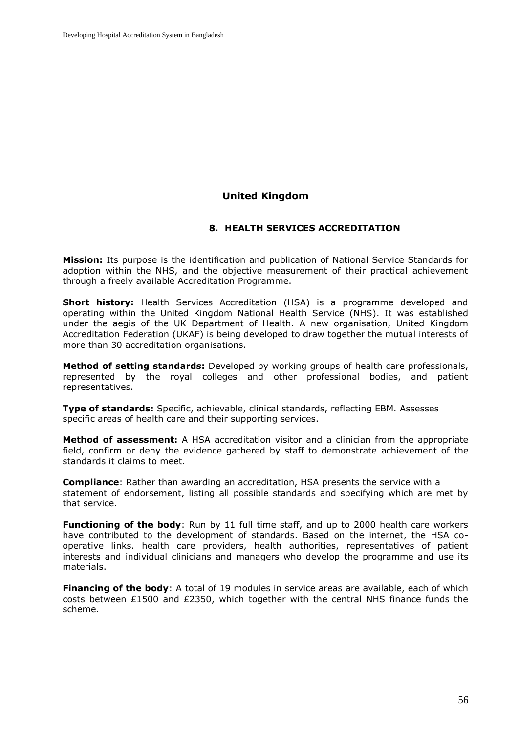## **United Kingdom**

## **8. HEALTH SERVICES ACCREDITATION**

**Mission:** Its purpose is the identification and publication of National Service Standards for adoption within the NHS, and the objective measurement of their practical achievement through a freely available Accreditation Programme.

**Short history:** Health Services Accreditation (HSA) is a programme developed and operating within the United Kingdom National Health Service (NHS). It was established under the aegis of the UK Department of Health. A new organisation, United Kingdom Accreditation Federation (UKAF) is being developed to draw together the mutual interests of more than 30 accreditation organisations.

**Method of setting standards:** Developed by working groups of health care professionals, represented by the royal colleges and other professional bodies, and patient representatives.

**Type of standards:** Specific, achievable, clinical standards, reflecting EBM. Assesses specific areas of health care and their supporting services.

**Method of assessment:** A HSA accreditation visitor and a clinician from the appropriate field, confirm or deny the evidence gathered by staff to demonstrate achievement of the standards it claims to meet.

**Compliance**: Rather than awarding an accreditation, HSA presents the service with a statement of endorsement, listing all possible standards and specifying which are met by that service.

**Functioning of the body**: Run by 11 full time staff, and up to 2000 health care workers have contributed to the development of standards. Based on the internet, the HSA cooperative links. health care providers, health authorities, representatives of patient interests and individual clinicians and managers who develop the programme and use its materials.

**Financing of the body:** A total of 19 modules in service areas are available, each of which costs between £1500 and £2350, which together with the central NHS finance funds the scheme.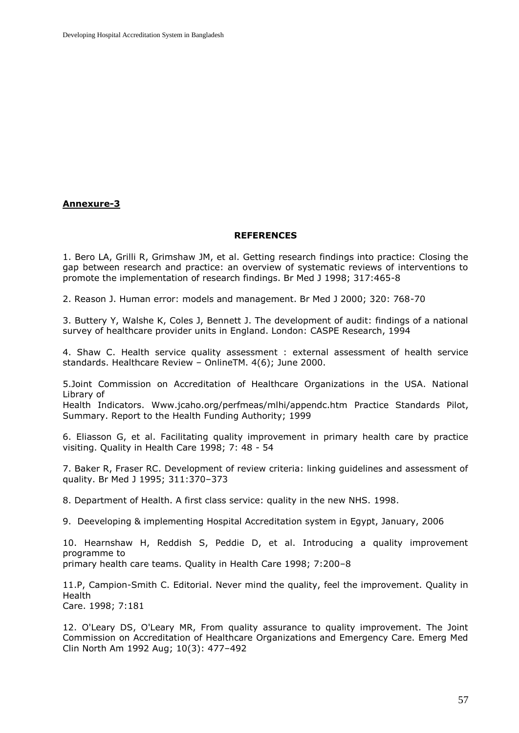## **Annexure-3**

#### **REFERENCES**

1. Bero LA, Grilli R, Grimshaw JM, et al. Getting research findings into practice: Closing the gap between research and practice: an overview of systematic reviews of interventions to promote the implementation of research findings. Br Med J 1998; 317:465-8

2. Reason J. Human error: models and management. Br Med J 2000; 320: 768-70

3. Buttery Y, Walshe K, Coles J, Bennett J. The development of audit: findings of a national survey of healthcare provider units in England. London: CASPE Research, 1994

4. Shaw C. Health service quality assessment : external assessment of health service standards. Healthcare Review – OnlineTM. 4(6); June 2000.

5.Joint Commission on Accreditation of Healthcare Organizations in the USA. National Library of

Health Indicators. [Www.jcaho.org/perfmeas/mlhi/appendc.htm](http://www.jcaho.org/perfmeas/mlhi/appendc.htm) Practice Standards Pilot, Summary. Report to the Health Funding Authority; 1999

6. Eliasson G, et al. Facilitating quality improvement in primary health care by practice visiting. Quality in Health Care 1998; 7: 48 - 54

7. Baker R, Fraser RC. Development of review criteria: linking guidelines and assessment of quality. Br Med J 1995; 311:370–373

8. Department of Health. A first class service: quality in the new NHS. 1998.

9. Deeveloping & implementing Hospital Accreditation system in Egypt, January, 2006

10. Hearnshaw H, Reddish S, Peddie D, et al. Introducing a quality improvement programme to primary health care teams. Quality in Health Care 1998; 7:200–8

11.P, Campion-Smith C. Editorial. Never mind the quality, feel the improvement. Quality in Health Care. 1998; 7:181

12. O'Leary DS, O'Leary MR, From quality assurance to quality improvement. The Joint Commission on Accreditation of Healthcare Organizations and Emergency Care. Emerg Med Clin North Am 1992 Aug; 10(3): 477–492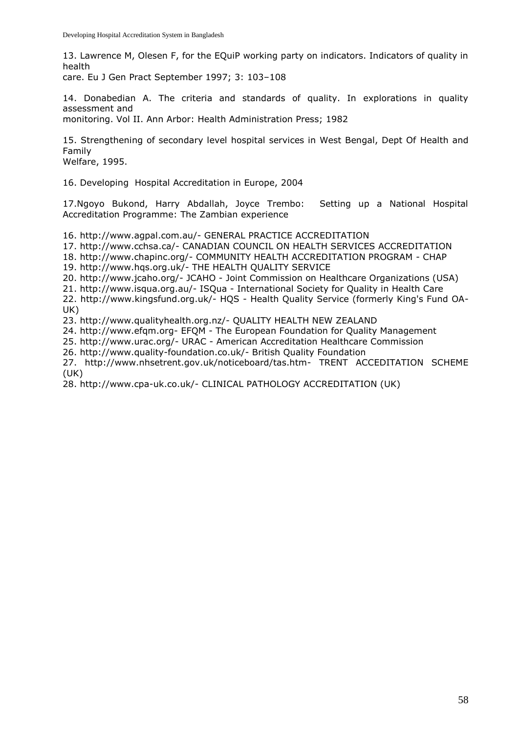13. Lawrence M, Olesen F, for the EQuiP working party on indicators. Indicators of quality in health

care. Eu J Gen Pract September 1997; 3: 103–108

14. Donabedian A. The criteria and standards of quality. In explorations in quality assessment and

monitoring. Vol II. Ann Arbor: Health Administration Press; 1982

15. Strengthening of secondary level hospital services in West Bengal, Dept Of Health and Family

Welfare, 1995.

16. Developing Hospital Accreditation in Europe, 2004

17.Ngoyo Bukond, Harry Abdallah, Joyce Trembo: Setting up a National Hospital Accreditation Programme: The Zambian experience

16. http://www.agpal.com.au/- GENERAL PRACTICE ACCREDITATION

17. http://www.cchsa.ca/- CANADIAN COUNCIL ON HEALTH SERVICES ACCREDITATION

18. http://www.chapinc.org/- COMMUNITY HEALTH ACCREDITATION PROGRAM - CHAP

19. http://www.hqs.org.uk/- THE HEALTH QUALITY SERVICE

20. http://www.jcaho.org/- JCAHO - Joint Commission on Healthcare Organizations (USA)

21. http://www.isqua.org.au/- ISQua - International Society for Quality in Health Care

22. http://www.kingsfund.org.uk/- HQS - Health Quality Service (formerly King's Fund OA-UK)

23. http://www.qualityhealth.org.nz/- QUALITY HEALTH NEW ZEALAND

24. http://www.efqm.org- EFQM - The European Foundation for Quality Management

25. http://www.urac.org/- URAC - American Accreditation Healthcare Commission

26. http://www.quality-foundation.co.uk/- British Quality Foundation

27. http://www.nhsetrent.gov.uk/noticeboard/tas.htm- TRENT ACCEDITATION SCHEME (UK)

28. http://www.cpa-uk.co.uk/- CLINICAL PATHOLOGY ACCREDITATION (UK)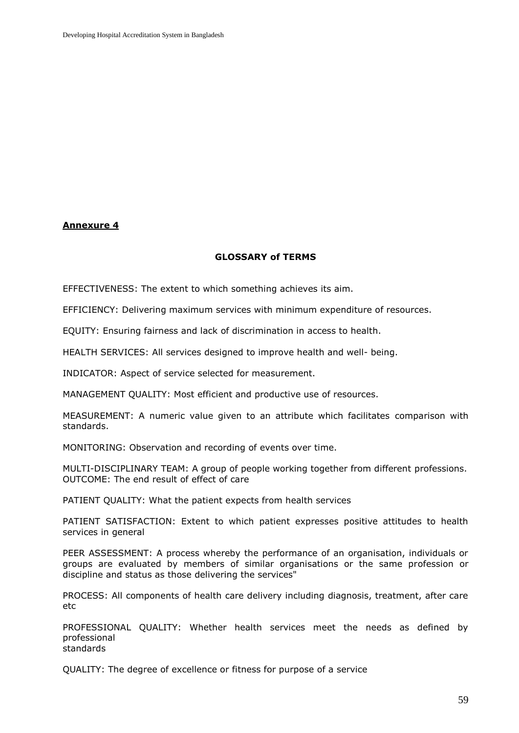#### **Annexure 4**

#### **GLOSSARY of TERMS**

EFFECTIVENESS: The extent to which something achieves its aim.

EFFICIENCY: Delivering maximum services with minimum expenditure of resources.

EQUITY: Ensuring fairness and lack of discrimination in access to health.

HEALTH SERVICES: All services designed to improve health and well- being.

INDICATOR: Aspect of service selected for measurement.

MANAGEMENT QUALITY: Most efficient and productive use of resources.

MEASUREMENT: A numeric value given to an attribute which facilitates comparison with standards.

MONITORING: Observation and recording of events over time.

MULTI-DISCIPLINARY TEAM: A group of people working together from different professions. OUTCOME: The end result of effect of care

PATIENT QUALITY: What the patient expects from health services

PATIENT SATISFACTION: Extent to which patient expresses positive attitudes to health services in general

PEER ASSESSMENT: A process whereby the performance of an organisation, individuals or groups are evaluated by members of similar organisations or the same profession or discipline and status as those delivering the services"

PROCESS: All components of health care delivery including diagnosis, treatment, after care etc

PROFESSIONAL QUALITY: Whether health services meet the needs as defined by professional standards

QUALITY: The degree of excellence or fitness for purpose of a service